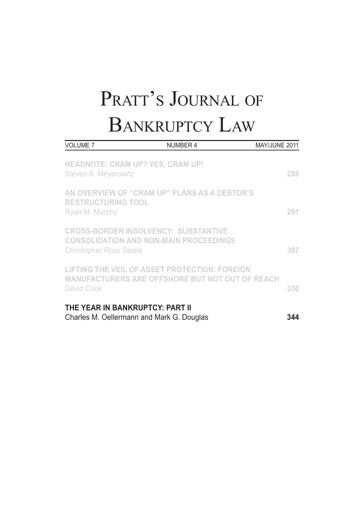| <b>VOLUME 7</b>                                                              | NUMBER 4                                                                                                | MAY/JUNE 2011 |
|------------------------------------------------------------------------------|---------------------------------------------------------------------------------------------------------|---------------|
| <b>HEADNOTE: CRAM UP? YES, CRAM UP!</b><br>Steven A. Meyerowitz              |                                                                                                         | 289           |
| <b>RESTRUCTURING TOOL</b><br>Ryan M. Murphy                                  | AN OVERVIEW OF "CRAM UP" PLANS AS A DEBTOR'S                                                            | 291           |
| <b>Christopher Ross Steele</b>                                               | <b>CROSS-BORDER INSOLVENCY: SUBSTANTIVE</b><br><b>CONSOLIDATION AND NON-MAIN PROCEEDINGS</b>            | 307           |
| David Cook                                                                   | LIFTING THE VEIL OF ASSET PROTECTION: FOREIGN<br><b>MANUFACTURERS ARE OFFSHORE BUT NOT OUT OF REACH</b> | 330           |
| THE YEAR IN BANKRUPTCY: PART II<br>Charles M. Oellermann and Mark G. Douglas |                                                                                                         | 344           |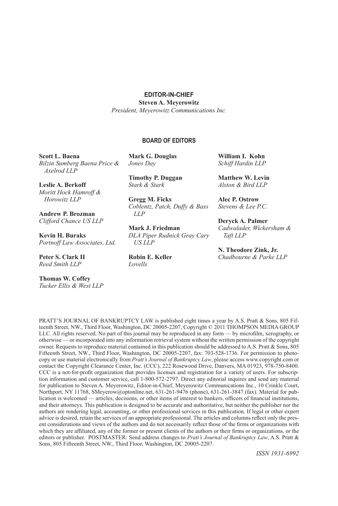#### **EDITOR-IN-CHIEF**

**Steven A. Meyerowitz**

*President, Meyerowitz Communications Inc.*

#### **BOARD OF EDITORS**

**Scott L. Baena** *Bilzin Sumberg Baena Price & Axelrod LLP*

**Leslie A. Berkoff** *Moritt Hock Hamroff & Horowitz LLP*

**Andrew P. Brozman** *Clifford Chance US LLP*

**Kevin H. Buraks** *Portnoff Law Associates, Ltd.*

**Peter S. Clark II**  *Reed Smith LLP*

**Thomas W. Coffey** *Tucker Ellis & West LLP* **Mark G. Douglas** *Jones Day*

**Timothy P. Duggan** *Stark & Stark*

**Gregg M. Ficks** *Coblentz, Patch, Duffy & Bass LLP*

**Mark J. Friedman** *DLA Piper Rudnick Gray Cary US LLP*

**Robin E. Keller** *Lovells*

**William I. Kohn**  *Schiff Hardin LLP* 

**Matthew W. Levin** *Alston & Bird LLP*

**Alec P. Ostrow** *Stevens & Lee P.C.*

**Deryck A. Palmer** *Cadwalader, Wickersham & Taft LLP* 

**N. Theodore Zink, Jr.** *Chadbourne & Parke LLP*

PRATT'S JOURNAL OF BANKRUPTCY LAW is published eight times a year by A.S. Pratt & Sons, 805 Fifteenth Street, NW., Third Floor, Washington, DC 20005-2207, Copyright © 2011 THOMPSON MEDIA GROUP LLC. All rights reserved. No part of this journal may be reproduced in any form — by microfilm, xerography, or otherwise — or incorporated into any information retrieval system without the written permission of the copyright owner. Requests to reproduce material contained in this publication should be addressed to A.S. Pratt & Sons, 805 Fifteenth Street, NW., Third Floor, Washington, DC 20005-2207, fax: 703-528-1736. For permission to photocopy or use material electronically from *Pratt's Journal of Bankruptcy Law*, please access www.copyright.com or contact the Copyright Clearance Center, Inc. (CCC), 222 Rosewood Drive, Danvers, MA 01923, 978-750-8400. CCC is a not-for-profit organization that provides licenses and registration for a variety of users. For subscription information and customer service, call 1-800-572-2797. Direct any editorial inquires and send any material for publication to Steven A. Meyerowitz, Editor-in-Chief, Meyerowitz Communications Inc., 10 Crinkle Court, Northport, NY 11768, SMeyerow@optonline.net, 631-261-9476 (phone), 631-261-3847 (fax). Material for publication is welcomed — articles, decisions, or other items of interest to bankers, officers of financial institutions, and their attorneys. This publication is designed to be accurate and authoritative, but neither the publisher nor the authors are rendering legal, accounting, or other professional services in this publication. If legal or other expert advice is desired, retain the services of an appropriate professional. The articles and columns reflect only the present considerations and views of the authors and do not necessarily reflect those of the firms or organizations with which they are affiliated, any of the former or present clients of the authors or their firms or organizations, or the editors or publisher. POSTMASTER: Send address changes to *Pratt's Journal of Bankruptcy Law*, A.S. Pratt & Sons, 805 Fifteenth Street, NW., Third Floor, Washington, DC 20005-2207.

*ISSN 1931-6992*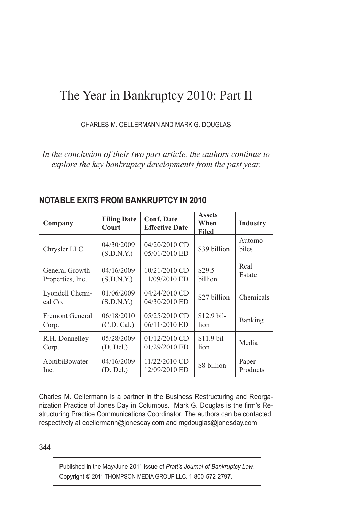# The Year in Bankruptcy 2010: Part II

CHARLES M. OELLERMANN AND MARK G. DOUGLAS

*In the conclusion of their two part article, the authors continue to explore the key bankruptcy developments from the past year.*

| Company                    | <b>Filing Date</b><br>Court | <b>Conf. Date</b><br><b>Effective Date</b> | <b>Assets</b><br>When<br>Filed | <b>Industry</b>  |
|----------------------------|-----------------------------|--------------------------------------------|--------------------------------|------------------|
| Chrysler LLC               | 04/30/2009<br>(S.D.N.Y.)    | 04/20/2010 CD<br>05/01/2010 ED             | \$39 billion                   | Automo-<br>biles |
| General Growth             | 04/16/2009                  | 10/21/2010 CD                              | \$29.5                         | Real             |
| Properties, Inc.           | (S.D.N.Y.)                  | 11/09/2010 ED                              | billion                        | Estate           |
| Lyondell Chemi-<br>cal Co. | 01/06/2009<br>(S.D.N.Y.)    | 04/24/2010 CD<br>04/30/2010 ED             | \$27 billion                   | Chemicals        |
| <b>Fremont General</b>     | 06/18/2010                  | 05/25/2010 CD                              | $$12.9$ bil-                   | Banking          |
| Corp.                      | (C.D. Cal.)                 | 06/11/2010 ED                              | lion                           |                  |
| R.H. Donnelley             | 05/28/2009                  | $01/12/2010$ CD                            | \$11.9 bil-                    | Media            |
| Corp.                      | (D. Del.)                   | 01/29/2010 ED                              | lion                           |                  |
| AbitibiBowater             | 04/16/2009                  | 11/22/2010 CD                              | \$8 billion                    | Paper            |
| Inc.                       | (D. Del.)                   | 12/09/2010 ED                              |                                | Products         |

## **NOTABLE EXITS FROM BANKRUPTCY IN 2010**

Charles M. Oellermann is a partner in the Business Restructuring and Reorganization Practice of Jones Day in Columbus. Mark G. Douglas is the firm's Restructuring Practice Communications Coordinator. The authors can be contacted, respectively at coellermann@jonesday.com and mgdouglas@jonesday.com.

344

Published in the May/June 2011 issue of *Pratt's Journal of Bankruptcy Law.* Copyright © 2011 THOMPSON MEDIA GROUP LLC. 1-800-572-2797.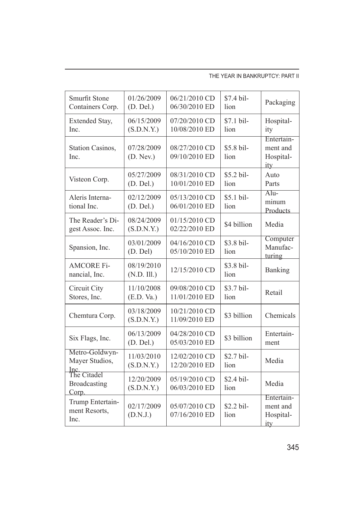#### THE YEAR IN BANKRUPTCY: PART II

| Smurfit Stone<br>Containers Corp.            | 01/26/2009<br>(D. Del.)   | 06/21/2010 CD<br>06/30/2010 ED | \$7.4 bil-<br>lion | Packaging                                  |
|----------------------------------------------|---------------------------|--------------------------------|--------------------|--------------------------------------------|
| Extended Stay,<br>Inc.                       | 06/15/2009<br>(S.D.N.Y.)  | 07/20/2010 CD<br>10/08/2010 ED | \$7.1 bil-<br>lion | Hospital-<br>ity                           |
| Station Casinos,<br>Inc.                     | 07/28/2009<br>(D. New.)   | 08/27/2010 CD<br>09/10/2010 ED | \$5.8 bil-<br>lion | Entertain-<br>ment and<br>Hospital-<br>ity |
| Visteon Corp.                                | 05/27/2009<br>(D. Del.)   | 08/31/2010 CD<br>10/01/2010 ED | \$5.2 bil-<br>lion | Auto<br>Parts                              |
| Aleris Interna-<br>tional Inc.               | 02/12/2009<br>(D. Del.)   | 05/13/2010 CD<br>06/01/2010 ED | \$5.1 bil-<br>lion | $Alu-$<br>minum<br>Products                |
| The Reader's Di-<br>gest Assoc. Inc.         | 08/24/2009<br>(S.D.N.Y.)  | 01/15/2010 CD<br>02/22/2010 ED | \$4 billion        | Media                                      |
| Spansion, Inc.                               | 03/01/2009<br>(D. Del)    | 04/16/2010 CD<br>05/10/2010 ED | \$3.8 bil-<br>lion | Computer<br>Manufac-<br>turing             |
| <b>AMCORE Fi-</b><br>nancial, Inc.           | 08/19/2010<br>(N.D. III.) | 12/15/2010 CD                  | \$3.8 bil-<br>lion | Banking                                    |
| Circuit City<br>Stores, Inc.                 | 11/10/2008<br>(E.D. Va.)  | 09/08/2010 CD<br>11/01/2010 ED | \$3.7 bil-<br>lion | Retail                                     |
| Chemtura Corp.                               | 03/18/2009<br>(S.D.N.Y.)  | 10/21/2010 CD<br>11/09/2010 ED | \$3 billion        | Chemicals                                  |
| Six Flags, Inc.                              | 06/13/2009<br>(D. Del.)   | 04/28/2010 CD<br>05/03/2010 ED | \$3 billion        | Entertain-<br>ment                         |
| Metro-Goldwyn-<br>Mayer Studios,             | 11/03/2010<br>(S.D.N.Y.)  | 12/02/2010 CD<br>12/20/2010 ED | \$2.7 bil-<br>lion | Media                                      |
| Inc.<br>The Citadel<br>Broadcasting<br>Corp. | 12/20/2009<br>(S.D.N.Y.)  | 05/19/2010 CD<br>06/03/2010 ED | \$2.4 bil-<br>lion | Media                                      |
| Trump Entertain-<br>ment Resorts,<br>Inc.    | 02/17/2009<br>(D.N.J.)    | 05/07/2010 CD<br>07/16/2010 ED | \$2.2 bil-<br>lion | Entertain-<br>ment and<br>Hospital-<br>ity |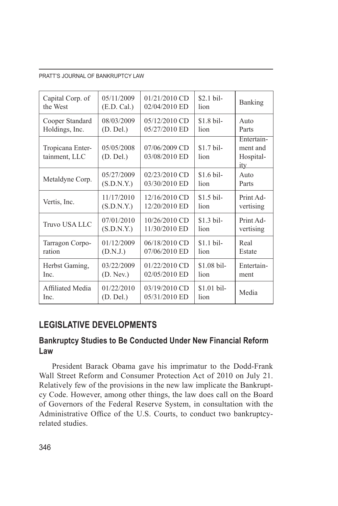| Capital Corp. of                  | 05/11/2009              | $01/21/2010$ CD                | $$2.1$ bil-         | Banking                                           |
|-----------------------------------|-------------------------|--------------------------------|---------------------|---------------------------------------------------|
| the West                          | (E.D. Cal.)             | 02/04/2010 ED                  | lion                |                                                   |
| Cooper Standard                   | 08/03/2009              | 05/12/2010 CD                  | $$1.8\,\text{bil}$  | Auto                                              |
| Holdings, Inc.                    | (D. Del.)               | 05/27/2010 ED                  | lion                | Parts                                             |
| Tropicana Enter-<br>tainment, LLC | 05/05/2008<br>(D. Del.) | 07/06/2009 CD<br>03/08/2010 ED | $$1.7$ bil-<br>lion | Entertain-<br>ment and<br>Hospital-<br><u>ity</u> |
| Metaldyne Corp.                   | 05/27/2009              | 02/23/2010 CD                  | $$1.6 \text{ bil}$  | Auto                                              |
|                                   | (S.D.N.Y.)              | 03/30/2010 ED                  | lion                | Parts                                             |
| Vertis, Inc.                      | 11/17/2010              | 12/16/2010 CD                  | $$1.5 \text{ bil}$  | Print Ad-                                         |
|                                   | (S.D.N.Y.)              | 12/20/2010 ED                  | lion                | vertising                                         |
| Truvo USA LLC                     | 07/01/2010              | 10/26/2010 CD                  | $$1.3$ bil-         | Print Ad-                                         |
|                                   | (S.D.N.Y.)              | 11/30/2010 ED                  | lion                | vertising                                         |
| Tarragon Corpo-                   | 01/12/2009              | 06/18/2010 CD                  | $$1.1$ bil-         | Real                                              |
| ration                            | (D.N.J.)                | 07/06/2010 ED                  | lion                | Estate                                            |
| Herbst Gaming,                    | 03/22/2009              | 01/22/2010 CD                  | $$1.08$ bil-        | Entertain-                                        |
| Inc.                              | (D. New.)               | 02/05/2010 ED                  | lion                | ment                                              |
| Affiliated Media                  | 01/22/2010              | 03/19/2010 CD                  | \$1.01 bil-         | Media                                             |
| Inc.                              | (D. Del.)               | 05/31/2010 ED                  | lion                |                                                   |

## **LEGISLATIVE DEVELOPMENTS**

## **Bankruptcy Studies to Be Conducted Under New Financial Reform Law**

President Barack Obama gave his imprimatur to the Dodd-Frank Wall Street Reform and Consumer Protection Act of 2010 on July 21. Relatively few of the provisions in the new law implicate the Bankruptcy Code. However, among other things, the law does call on the Board of Governors of the Federal Reserve System, in consultation with the Administrative Office of the U.S. Courts, to conduct two bankruptcyrelated studies.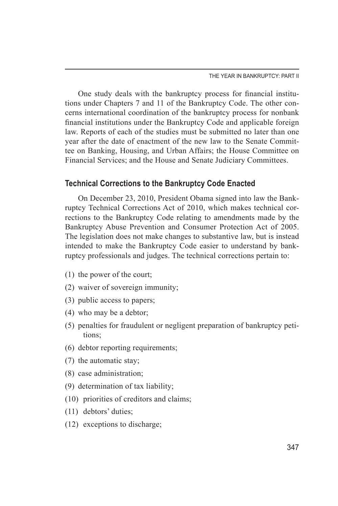One study deals with the bankruptcy process for financial institutions under Chapters 7 and 11 of the Bankruptcy Code. The other concerns international coordination of the bankruptcy process for nonbank financial institutions under the Bankruptcy Code and applicable foreign law. Reports of each of the studies must be submitted no later than one year after the date of enactment of the new law to the Senate Committee on Banking, Housing, and Urban Affairs; the House Committee on Financial Services; and the House and Senate Judiciary Committees.

## **Technical Corrections to the Bankruptcy Code Enacted**

On December 23, 2010, President Obama signed into law the Bankruptcy Technical Corrections Act of 2010, which makes technical corrections to the Bankruptcy Code relating to amendments made by the Bankruptcy Abuse Prevention and Consumer Protection Act of 2005. The legislation does not make changes to substantive law, but is instead intended to make the Bankruptcy Code easier to understand by bankruptcy professionals and judges. The technical corrections pertain to:

- (1) the power of the court;
- (2) waiver of sovereign immunity;
- (3) public access to papers;
- (4) who may be a debtor;
- (5) penalties for fraudulent or negligent preparation of bankruptcy petitions;
- (6) debtor reporting requirements;
- (7) the automatic stay;
- (8) case administration;
- (9) determination of tax liability;
- (10) priorities of creditors and claims;
- (11) debtors' duties;
- (12) exceptions to discharge;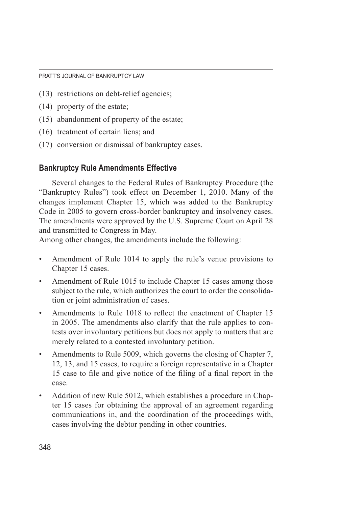- (13) restrictions on debt-relief agencies;
- (14) property of the estate;
- (15) abandonment of property of the estate;
- (16) treatment of certain liens; and
- (17) conversion or dismissal of bankruptcy cases.

## **Bankruptcy Rule Amendments Effective**

Several changes to the Federal Rules of Bankruptcy Procedure (the "Bankruptcy Rules") took effect on December 1, 2010. Many of the changes implement Chapter 15, which was added to the Bankruptcy Code in 2005 to govern cross-border bankruptcy and insolvency cases. The amendments were approved by the U.S. Supreme Court on April 28 and transmitted to Congress in May.

Among other changes, the amendments include the following:

- Amendment of Rule 1014 to apply the rule's venue provisions to Chapter 15 cases.
- Amendment of Rule 1015 to include Chapter 15 cases among those subject to the rule, which authorizes the court to order the consolidation or joint administration of cases.
- Amendments to Rule 1018 to reflect the enactment of Chapter 15 in 2005. The amendments also clarify that the rule applies to contests over involuntary petitions but does not apply to matters that are merely related to a contested involuntary petition.
- Amendments to Rule 5009, which governs the closing of Chapter 7, 12, 13, and 15 cases, to require a foreign representative in a Chapter 15 case to file and give notice of the filing of a final report in the case.
- Addition of new Rule 5012, which establishes a procedure in Chapter 15 cases for obtaining the approval of an agreement regarding communications in, and the coordination of the proceedings with, cases involving the debtor pending in other countries.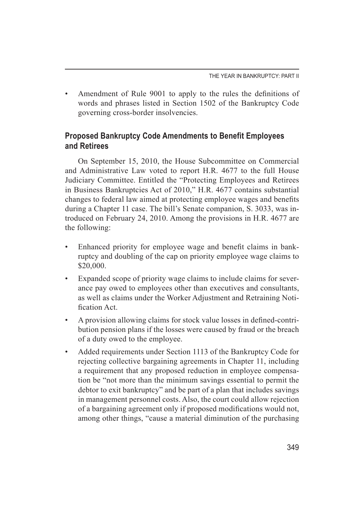• Amendment of Rule 9001 to apply to the rules the definitions of words and phrases listed in Section 1502 of the Bankruptcy Code governing cross-border insolvencies.

## **Proposed Bankruptcy Code Amendments to Benefit Employees and Retirees**

On September 15, 2010, the House Subcommittee on Commercial and Administrative Law voted to report H.R. 4677 to the full House Judiciary Committee. Entitled the "Protecting Employees and Retirees in Business Bankruptcies Act of 2010," H.R. 4677 contains substantial changes to federal law aimed at protecting employee wages and benefits during a Chapter 11 case. The bill's Senate companion, S. 3033, was introduced on February 24, 2010. Among the provisions in H.R. 4677 are the following:

- Enhanced priority for employee wage and benefit claims in bankruptcy and doubling of the cap on priority employee wage claims to \$20,000.
- Expanded scope of priority wage claims to include claims for severance pay owed to employees other than executives and consultants, as well as claims under the Worker Adjustment and Retraining Notification Act.
- A provision allowing claims for stock value losses in defined-contribution pension plans if the losses were caused by fraud or the breach of a duty owed to the employee.
- Added requirements under Section 1113 of the Bankruptcy Code for rejecting collective bargaining agreements in Chapter 11, including a requirement that any proposed reduction in employee compensation be "not more than the minimum savings essential to permit the debtor to exit bankruptcy" and be part of a plan that includes savings in management personnel costs. Also, the court could allow rejection of a bargaining agreement only if proposed modifications would not, among other things, "cause a material diminution of the purchasing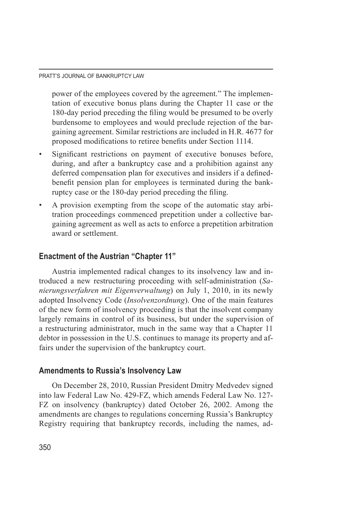power of the employees covered by the agreement." The implementation of executive bonus plans during the Chapter 11 case or the 180-day period preceding the filing would be presumed to be overly burdensome to employees and would preclude rejection of the bargaining agreement. Similar restrictions are included in H.R. 4677 for proposed modifications to retiree benefits under Section 1114.

- Significant restrictions on payment of executive bonuses before, during, and after a bankruptcy case and a prohibition against any deferred compensation plan for executives and insiders if a definedbenefit pension plan for employees is terminated during the bankruptcy case or the 180-day period preceding the filing.
- A provision exempting from the scope of the automatic stay arbitration proceedings commenced prepetition under a collective bargaining agreement as well as acts to enforce a prepetition arbitration award or settlement.

## **Enactment of the Austrian "Chapter 11"**

Austria implemented radical changes to its insolvency law and introduced a new restructuring proceeding with self-administration (*Sanierungsverfahren mit Eigenverwaltung*) on July 1, 2010, in its newly adopted Insolvency Code (*Insolvenzordnung*). One of the main features of the new form of insolvency proceeding is that the insolvent company largely remains in control of its business, but under the supervision of a restructuring administrator, much in the same way that a Chapter 11 debtor in possession in the U.S. continues to manage its property and affairs under the supervision of the bankruptcy court.

## **Amendments to Russia's Insolvency Law**

On December 28, 2010, Russian President Dmitry Medvedev signed into law Federal Law No. 429-FZ, which amends Federal Law No. 127- FZ on insolvency (bankruptcy) dated October 26, 2002. Among the amendments are changes to regulations concerning Russia's Bankruptcy Registry requiring that bankruptcy records, including the names, ad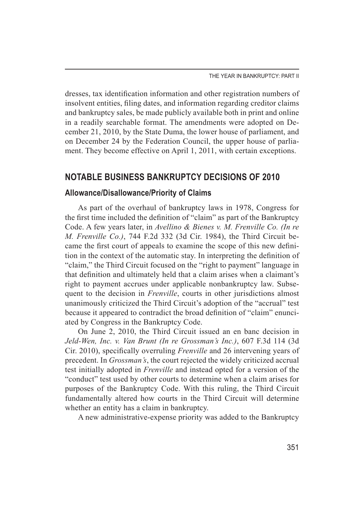dresses, tax identification information and other registration numbers of insolvent entities, filing dates, and information regarding creditor claims and bankruptcy sales, be made publicly available both in print and online in a readily searchable format. The amendments were adopted on December 21, 2010, by the State Duma, the lower house of parliament, and on December 24 by the Federation Council, the upper house of parliament. They become effective on April 1, 2011, with certain exceptions.

## **NOTABLE BUSINESS BANKRUPTCY DECISIONS OF 2010**

## **Allowance/Disallowance/Priority of Claims**

As part of the overhaul of bankruptcy laws in 1978, Congress for the first time included the definition of "claim" as part of the Bankruptcy Code. A few years later, in *Avellino & Bienes v. M. Frenville Co. (In re M. Frenville Co.)*, 744 F.2d 332 (3d Cir. 1984), the Third Circuit became the first court of appeals to examine the scope of this new definition in the context of the automatic stay. In interpreting the definition of "claim," the Third Circuit focused on the "right to payment" language in that definition and ultimately held that a claim arises when a claimant's right to payment accrues under applicable nonbankruptcy law. Subsequent to the decision in *Frenville*, courts in other jurisdictions almost unanimously criticized the Third Circuit's adoption of the "accrual" test because it appeared to contradict the broad definition of "claim" enunciated by Congress in the Bankruptcy Code.

On June 2, 2010, the Third Circuit issued an en banc decision in *Jeld-Wen, Inc. v. Van Brunt (In re Grossman's Inc.)*, 607 F.3d 114 (3d Cir. 2010), specifically overruling *Frenville* and 26 intervening years of precedent. In *Grossman's*, the court rejected the widely criticized accrual test initially adopted in *Frenville* and instead opted for a version of the "conduct" test used by other courts to determine when a claim arises for purposes of the Bankruptcy Code. With this ruling, the Third Circuit fundamentally altered how courts in the Third Circuit will determine whether an entity has a claim in bankruptcy.

A new administrative-expense priority was added to the Bankruptcy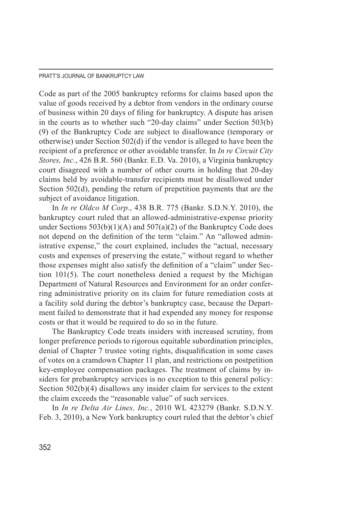Code as part of the 2005 bankruptcy reforms for claims based upon the value of goods received by a debtor from vendors in the ordinary course of business within 20 days of filing for bankruptcy. A dispute has arisen in the courts as to whether such "20-day claims" under Section 503(b) (9) of the Bankruptcy Code are subject to disallowance (temporary or otherwise) under Section 502(d) if the vendor is alleged to have been the recipient of a preference or other avoidable transfer. In *In re Circuit City Stores, Inc.*, 426 B.R. 560 (Bankr. E.D. Va. 2010), a Virginia bankruptcy court disagreed with a number of other courts in holding that 20-day claims held by avoidable-transfer recipients must be disallowed under Section 502(d), pending the return of prepetition payments that are the subject of avoidance litigation.

In *In re Oldco M Corp.*, 438 B.R. 775 (Bankr. S.D.N.Y. 2010), the bankruptcy court ruled that an allowed-administrative-expense priority under Sections  $503(b)(1)(A)$  and  $507(a)(2)$  of the Bankruptcy Code does not depend on the definition of the term "claim." An "allowed administrative expense," the court explained, includes the "actual, necessary costs and expenses of preserving the estate," without regard to whether those expenses might also satisfy the definition of a "claim" under Section 101(5). The court nonetheless denied a request by the Michigan Department of Natural Resources and Environment for an order conferring administrative priority on its claim for future remediation costs at a facility sold during the debtor's bankruptcy case, because the Department failed to demonstrate that it had expended any money for response costs or that it would be required to do so in the future.

The Bankruptcy Code treats insiders with increased scrutiny, from longer preference periods to rigorous equitable subordination principles, denial of Chapter 7 trustee voting rights, disqualification in some cases of votes on a cramdown Chapter 11 plan, and restrictions on postpetition key-employee compensation packages. The treatment of claims by insiders for prebankruptcy services is no exception to this general policy: Section 502(b)(4) disallows any insider claim for services to the extent the claim exceeds the "reasonable value" of such services.

In *In re Delta Air Lines, Inc.*, 2010 WL 423279 (Bankr. S.D.N.Y. Feb. 3, 2010), a New York bankruptcy court ruled that the debtor's chief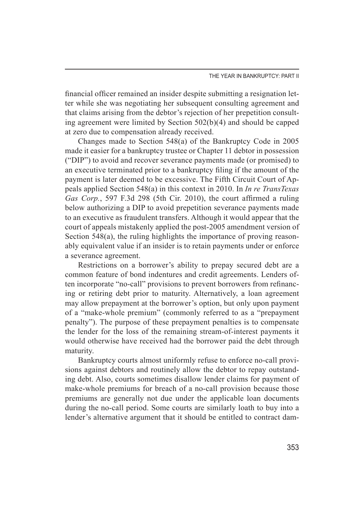financial officer remained an insider despite submitting a resignation letter while she was negotiating her subsequent consulting agreement and that claims arising from the debtor's rejection of her prepetition consulting agreement were limited by Section 502(b)(4) and should be capped at zero due to compensation already received.

Changes made to Section 548(a) of the Bankruptcy Code in 2005 made it easier for a bankruptcy trustee or Chapter 11 debtor in possession ("DIP") to avoid and recover severance payments made (or promised) to an executive terminated prior to a bankruptcy filing if the amount of the payment is later deemed to be excessive. The Fifth Circuit Court of Appeals applied Section 548(a) in this context in 2010. In *In re TransTexas Gas Corp.*, 597 F.3d 298 (5th Cir. 2010), the court affirmed a ruling below authorizing a DIP to avoid prepetition severance payments made to an executive as fraudulent transfers. Although it would appear that the court of appeals mistakenly applied the post-2005 amendment version of Section 548(a), the ruling highlights the importance of proving reasonably equivalent value if an insider is to retain payments under or enforce a severance agreement.

Restrictions on a borrower's ability to prepay secured debt are a common feature of bond indentures and credit agreements. Lenders often incorporate "no-call" provisions to prevent borrowers from refinancing or retiring debt prior to maturity. Alternatively, a loan agreement may allow prepayment at the borrower's option, but only upon payment of a "make-whole premium" (commonly referred to as a "prepayment penalty"). The purpose of these prepayment penalties is to compensate the lender for the loss of the remaining stream-of-interest payments it would otherwise have received had the borrower paid the debt through maturity.

Bankruptcy courts almost uniformly refuse to enforce no-call provisions against debtors and routinely allow the debtor to repay outstanding debt. Also, courts sometimes disallow lender claims for payment of make-whole premiums for breach of a no-call provision because those premiums are generally not due under the applicable loan documents during the no-call period. Some courts are similarly loath to buy into a lender's alternative argument that it should be entitled to contract dam-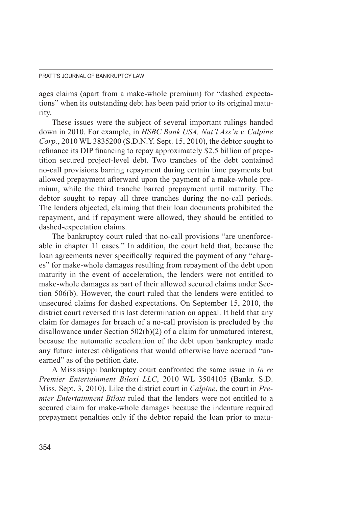ages claims (apart from a make-whole premium) for "dashed expectations" when its outstanding debt has been paid prior to its original maturity.

These issues were the subject of several important rulings handed down in 2010. For example, in *HSBC Bank USA, Nat'l Ass'n v. Calpine Corp.*, 2010 WL 3835200 (S.D.N.Y. Sept. 15, 2010), the debtor sought to refinance its DIP financing to repay approximately \$2.5 billion of prepetition secured project-level debt. Two tranches of the debt contained no-call provisions barring repayment during certain time payments but allowed prepayment afterward upon the payment of a make-whole premium, while the third tranche barred prepayment until maturity. The debtor sought to repay all three tranches during the no-call periods. The lenders objected, claiming that their loan documents prohibited the repayment, and if repayment were allowed, they should be entitled to dashed-expectation claims.

The bankruptcy court ruled that no-call provisions "are unenforceable in chapter 11 cases." In addition, the court held that, because the loan agreements never specifically required the payment of any "charges" for make-whole damages resulting from repayment of the debt upon maturity in the event of acceleration, the lenders were not entitled to make-whole damages as part of their allowed secured claims under Section 506(b). However, the court ruled that the lenders were entitled to unsecured claims for dashed expectations. On September 15, 2010, the district court reversed this last determination on appeal. It held that any claim for damages for breach of a no-call provision is precluded by the disallowance under Section 502(b)(2) of a claim for unmatured interest, because the automatic acceleration of the debt upon bankruptcy made any future interest obligations that would otherwise have accrued "unearned" as of the petition date.

A Mississippi bankruptcy court confronted the same issue in *In re Premier Entertainment Biloxi LLC*, 2010 WL 3504105 (Bankr. S.D. Miss. Sept. 3, 2010). Like the district court in *Calpine*, the court in *Premier Entertainment Biloxi* ruled that the lenders were not entitled to a secured claim for make-whole damages because the indenture required prepayment penalties only if the debtor repaid the loan prior to matu-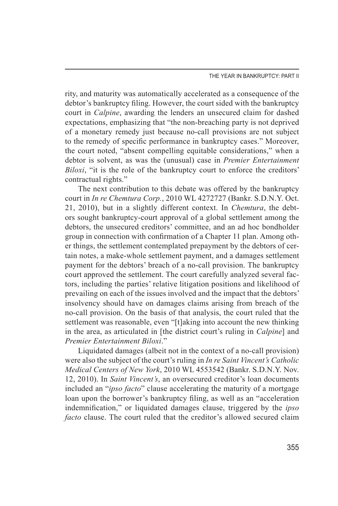THE YEAR IN BANKRUPTCY: PART II

rity, and maturity was automatically accelerated as a consequence of the debtor's bankruptcy filing. However, the court sided with the bankruptcy court in *Calpine*, awarding the lenders an unsecured claim for dashed expectations, emphasizing that "the non-breaching party is not deprived of a monetary remedy just because no-call provisions are not subject to the remedy of specific performance in bankruptcy cases." Moreover, the court noted, "absent compelling equitable considerations," when a debtor is solvent, as was the (unusual) case in *Premier Entertainment Biloxi*, "it is the role of the bankruptcy court to enforce the creditors' contractual rights."

The next contribution to this debate was offered by the bankruptcy court in *In re Chemtura Corp.*, 2010 WL 4272727 (Bankr. S.D.N.Y. Oct. 21, 2010), but in a slightly different context. In *Chemtura*, the debtors sought bankruptcy-court approval of a global settlement among the debtors, the unsecured creditors' committee, and an ad hoc bondholder group in connection with confirmation of a Chapter 11 plan. Among other things, the settlement contemplated prepayment by the debtors of certain notes, a make-whole settlement payment, and a damages settlement payment for the debtors' breach of a no-call provision. The bankruptcy court approved the settlement. The court carefully analyzed several factors, including the parties' relative litigation positions and likelihood of prevailing on each of the issues involved and the impact that the debtors' insolvency should have on damages claims arising from breach of the no-call provision. On the basis of that analysis, the court ruled that the settlement was reasonable, even "[t]aking into account the new thinking in the area, as articulated in [the district court's ruling in *Calpine*] and *Premier Entertainment Biloxi*."

Liquidated damages (albeit not in the context of a no-call provision) were also the subject of the court's ruling in *In re Saint Vincent's Catholic Medical Centers of New York*, 2010 WL 4553542 (Bankr. S.D.N.Y. Nov. 12, 2010). In *Saint Vincent's*, an oversecured creditor's loan documents included an "*ipso facto*" clause accelerating the maturity of a mortgage loan upon the borrower's bankruptcy filing, as well as an "acceleration indemnification," or liquidated damages clause, triggered by the *ipso facto* clause. The court ruled that the creditor's allowed secured claim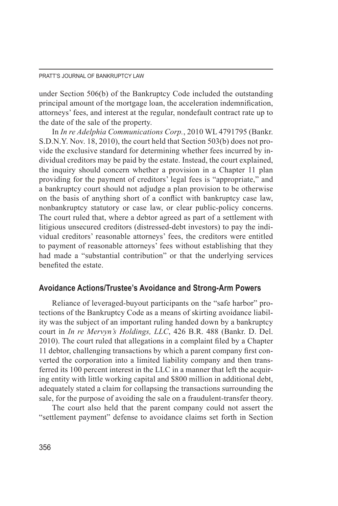under Section 506(b) of the Bankruptcy Code included the outstanding principal amount of the mortgage loan, the acceleration indemnification, attorneys' fees, and interest at the regular, nondefault contract rate up to the date of the sale of the property.

In *In re Adelphia Communications Corp.*, 2010 WL 4791795 (Bankr. S.D.N.Y. Nov. 18, 2010), the court held that Section 503(b) does not provide the exclusive standard for determining whether fees incurred by individual creditors may be paid by the estate. Instead, the court explained, the inquiry should concern whether a provision in a Chapter 11 plan providing for the payment of creditors' legal fees is "appropriate," and a bankruptcy court should not adjudge a plan provision to be otherwise on the basis of anything short of a conflict with bankruptcy case law, nonbankruptcy statutory or case law, or clear public-policy concerns. The court ruled that, where a debtor agreed as part of a settlement with litigious unsecured creditors (distressed-debt investors) to pay the individual creditors' reasonable attorneys' fees, the creditors were entitled to payment of reasonable attorneys' fees without establishing that they had made a "substantial contribution" or that the underlying services benefited the estate.

## **Avoidance Actions/Trustee's Avoidance and Strong-Arm Powers**

Reliance of leveraged-buyout participants on the "safe harbor" protections of the Bankruptcy Code as a means of skirting avoidance liability was the subject of an important ruling handed down by a bankruptcy court in *In re Mervyn's Holdings, LLC*, 426 B.R. 488 (Bankr. D. Del. 2010). The court ruled that allegations in a complaint filed by a Chapter 11 debtor, challenging transactions by which a parent company first converted the corporation into a limited liability company and then transferred its 100 percent interest in the LLC in a manner that left the acquiring entity with little working capital and \$800 million in additional debt, adequately stated a claim for collapsing the transactions surrounding the sale, for the purpose of avoiding the sale on a fraudulent-transfer theory.

The court also held that the parent company could not assert the "settlement payment" defense to avoidance claims set forth in Section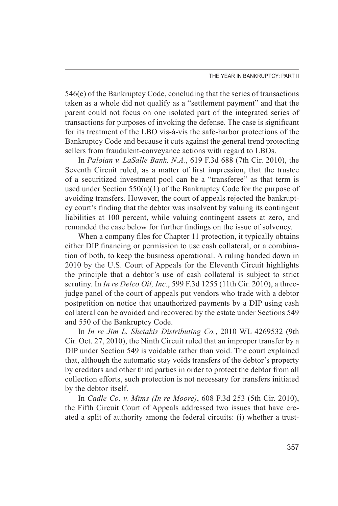546(e) of the Bankruptcy Code, concluding that the series of transactions taken as a whole did not qualify as a "settlement payment" and that the parent could not focus on one isolated part of the integrated series of transactions for purposes of invoking the defense. The case is significant for its treatment of the LBO vis-à-vis the safe-harbor protections of the Bankruptcy Code and because it cuts against the general trend protecting sellers from fraudulent-conveyance actions with regard to LBOs.

In *Paloian v. LaSalle Bank, N.A.*, 619 F.3d 688 (7th Cir. 2010), the Seventh Circuit ruled, as a matter of first impression, that the trustee of a securitized investment pool can be a "transferee" as that term is used under Section  $550(a)(1)$  of the Bankruptcy Code for the purpose of avoiding transfers. However, the court of appeals rejected the bankruptcy court's finding that the debtor was insolvent by valuing its contingent liabilities at 100 percent, while valuing contingent assets at zero, and remanded the case below for further findings on the issue of solvency.

When a company files for Chapter 11 protection, it typically obtains either DIP financing or permission to use cash collateral, or a combination of both, to keep the business operational. A ruling handed down in 2010 by the U.S. Court of Appeals for the Eleventh Circuit highlights the principle that a debtor's use of cash collateral is subject to strict scrutiny. In *In re Delco Oil, Inc.*, 599 F.3d 1255 (11th Cir. 2010), a threejudge panel of the court of appeals put vendors who trade with a debtor postpetition on notice that unauthorized payments by a DIP using cash collateral can be avoided and recovered by the estate under Sections 549 and 550 of the Bankruptcy Code.

In *In re Jim L. Shetakis Distributing Co.*, 2010 WL 4269532 (9th Cir. Oct. 27, 2010), the Ninth Circuit ruled that an improper transfer by a DIP under Section 549 is voidable rather than void. The court explained that, although the automatic stay voids transfers of the debtor's property by creditors and other third parties in order to protect the debtor from all collection efforts, such protection is not necessary for transfers initiated by the debtor itself.

In *Cadle Co. v. Mims (In re Moore)*, 608 F.3d 253 (5th Cir. 2010), the Fifth Circuit Court of Appeals addressed two issues that have created a split of authority among the federal circuits: (i) whether a trust-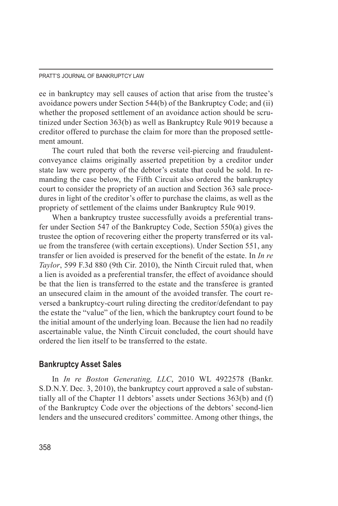ee in bankruptcy may sell causes of action that arise from the trustee's avoidance powers under Section 544(b) of the Bankruptcy Code; and (ii) whether the proposed settlement of an avoidance action should be scrutinized under Section 363(b) as well as Bankruptcy Rule 9019 because a creditor offered to purchase the claim for more than the proposed settlement amount.

The court ruled that both the reverse veil-piercing and fraudulentconveyance claims originally asserted prepetition by a creditor under state law were property of the debtor's estate that could be sold. In remanding the case below, the Fifth Circuit also ordered the bankruptcy court to consider the propriety of an auction and Section 363 sale procedures in light of the creditor's offer to purchase the claims, as well as the propriety of settlement of the claims under Bankruptcy Rule 9019.

When a bankruptcy trustee successfully avoids a preferential transfer under Section 547 of the Bankruptcy Code, Section 550(a) gives the trustee the option of recovering either the property transferred or its value from the transferee (with certain exceptions). Under Section 551, any transfer or lien avoided is preserved for the benefit of the estate. In *In re Taylor*, 599 F.3d 880 (9th Cir. 2010), the Ninth Circuit ruled that, when a lien is avoided as a preferential transfer, the effect of avoidance should be that the lien is transferred to the estate and the transferee is granted an unsecured claim in the amount of the avoided transfer. The court reversed a bankruptcy-court ruling directing the creditor/defendant to pay the estate the "value" of the lien, which the bankruptcy court found to be the initial amount of the underlying loan. Because the lien had no readily ascertainable value, the Ninth Circuit concluded, the court should have ordered the lien itself to be transferred to the estate.

#### **Bankruptcy Asset Sales**

In *In re Boston Generating, LLC*, 2010 WL 4922578 (Bankr. S.D.N.Y. Dec. 3, 2010), the bankruptcy court approved a sale of substantially all of the Chapter 11 debtors' assets under Sections 363(b) and (f) of the Bankruptcy Code over the objections of the debtors' second-lien lenders and the unsecured creditors' committee. Among other things, the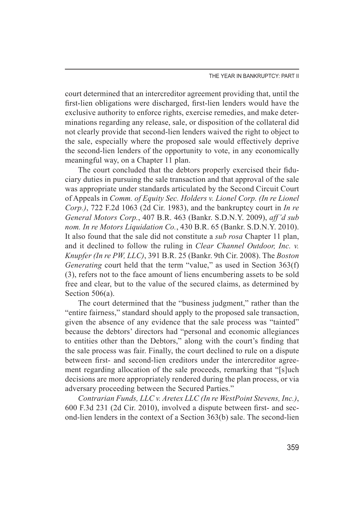court determined that an intercreditor agreement providing that, until the first-lien obligations were discharged, first-lien lenders would have the exclusive authority to enforce rights, exercise remedies, and make determinations regarding any release, sale, or disposition of the collateral did not clearly provide that second-lien lenders waived the right to object to the sale, especially where the proposed sale would effectively deprive the second-lien lenders of the opportunity to vote, in any economically meaningful way, on a Chapter 11 plan.

The court concluded that the debtors properly exercised their fiduciary duties in pursuing the sale transaction and that approval of the sale was appropriate under standards articulated by the Second Circuit Court of Appeals in *Comm. of Equity Sec. Holders v. Lionel Corp. (In re Lionel Corp.)*, 722 F.2d 1063 (2d Cir. 1983), and the bankruptcy court in *In re General Motors Corp.*, 407 B.R. 463 (Bankr. S.D.N.Y. 2009), *aff'd sub nom. In re Motors Liquidation Co.*, 430 B.R. 65 (Bankr. S.D.N.Y. 2010). It also found that the sale did not constitute a *sub rosa* Chapter 11 plan, and it declined to follow the ruling in *Clear Channel Outdoor, Inc. v. Knupfer (In re PW, LLC)*, 391 B.R. 25 (Bankr. 9th Cir. 2008). The *Boston Generating* court held that the term "value," as used in Section 363(f) (3), refers not to the face amount of liens encumbering assets to be sold free and clear, but to the value of the secured claims, as determined by Section 506(a).

The court determined that the "business judgment," rather than the "entire fairness," standard should apply to the proposed sale transaction, given the absence of any evidence that the sale process was "tainted" because the debtors' directors had "personal and economic allegiances to entities other than the Debtors," along with the court's finding that the sale process was fair. Finally, the court declined to rule on a dispute between first- and second-lien creditors under the intercreditor agreement regarding allocation of the sale proceeds, remarking that "[s]uch decisions are more appropriately rendered during the plan process, or via adversary proceeding between the Secured Parties."

*Contrarian Funds, LLC v. Aretex LLC (In re WestPoint Stevens, Inc.)*, 600 F.3d 231 (2d Cir. 2010), involved a dispute between first- and second-lien lenders in the context of a Section 363(b) sale. The second-lien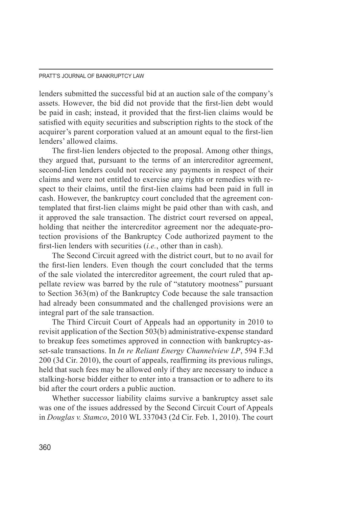lenders submitted the successful bid at an auction sale of the company's assets. However, the bid did not provide that the first-lien debt would be paid in cash; instead, it provided that the first-lien claims would be satisfied with equity securities and subscription rights to the stock of the acquirer's parent corporation valued at an amount equal to the first-lien lenders' allowed claims.

The first-lien lenders objected to the proposal. Among other things, they argued that, pursuant to the terms of an intercreditor agreement, second-lien lenders could not receive any payments in respect of their claims and were not entitled to exercise any rights or remedies with respect to their claims, until the first-lien claims had been paid in full in cash. However, the bankruptcy court concluded that the agreement contemplated that first-lien claims might be paid other than with cash, and it approved the sale transaction. The district court reversed on appeal, holding that neither the intercreditor agreement nor the adequate-protection provisions of the Bankruptcy Code authorized payment to the first-lien lenders with securities (*i.e.*, other than in cash).

The Second Circuit agreed with the district court, but to no avail for the first-lien lenders. Even though the court concluded that the terms of the sale violated the intercreditor agreement, the court ruled that appellate review was barred by the rule of "statutory mootness" pursuant to Section 363(m) of the Bankruptcy Code because the sale transaction had already been consummated and the challenged provisions were an integral part of the sale transaction.

The Third Circuit Court of Appeals had an opportunity in 2010 to revisit application of the Section 503(b) administrative-expense standard to breakup fees sometimes approved in connection with bankruptcy-asset-sale transactions. In *In re Reliant Energy Channelview LP*, 594 F.3d 200 (3d Cir. 2010), the court of appeals, reaffirming its previous rulings, held that such fees may be allowed only if they are necessary to induce a stalking-horse bidder either to enter into a transaction or to adhere to its bid after the court orders a public auction.

Whether successor liability claims survive a bankruptcy asset sale was one of the issues addressed by the Second Circuit Court of Appeals in *Douglas v. Stamco*, 2010 WL 337043 (2d Cir. Feb. 1, 2010). The court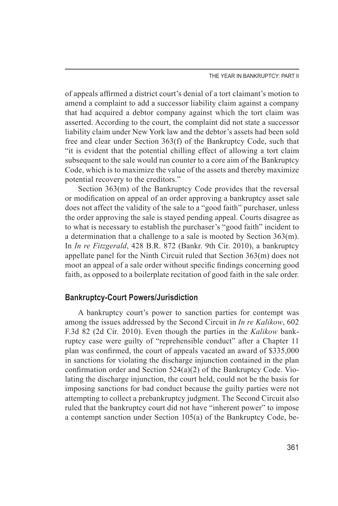THE YEAR IN BANKRUPTCY: PART II

of appeals affirmed a district court's denial of a tort claimant's motion to amend a complaint to add a successor liability claim against a company that had acquired a debtor company against which the tort claim was asserted. According to the court, the complaint did not state a successor liability claim under New York law and the debtor's assets had been sold free and clear under Section 363(f) of the Bankruptcy Code, such that "it is evident that the potential chilling effect of allowing a tort claim subsequent to the sale would run counter to a core aim of the Bankruptcy Code, which is to maximize the value of the assets and thereby maximize potential recovery to the creditors."

Section 363(m) of the Bankruptcy Code provides that the reversal or modification on appeal of an order approving a bankruptcy asset sale does not affect the validity of the sale to a "good faith" purchaser, unless the order approving the sale is stayed pending appeal. Courts disagree as to what is necessary to establish the purchaser's "good faith" incident to a determination that a challenge to a sale is mooted by Section 363(m). In *In re Fitzgerald*, 428 B.R. 872 (Bankr. 9th Cir. 2010), a bankruptcy appellate panel for the Ninth Circuit ruled that Section 363(m) does not moot an appeal of a sale order without specific findings concerning good faith, as opposed to a boilerplate recitation of good faith in the sale order.

## **Bankruptcy-Court Powers/Jurisdiction**

A bankruptcy court's power to sanction parties for contempt was among the issues addressed by the Second Circuit in *In re Kalikow*, 602 F.3d 82 (2d Cir. 2010). Even though the parties in the *Kalikow* bankruptcy case were guilty of "reprehensible conduct" after a Chapter 11 plan was confirmed, the court of appeals vacated an award of \$335,000 in sanctions for violating the discharge injunction contained in the plan confirmation order and Section 524(a)(2) of the Bankruptcy Code. Violating the discharge injunction, the court held, could not be the basis for imposing sanctions for bad conduct because the guilty parties were not attempting to collect a prebankruptcy judgment. The Second Circuit also ruled that the bankruptcy court did not have "inherent power" to impose a contempt sanction under Section 105(a) of the Bankruptcy Code, be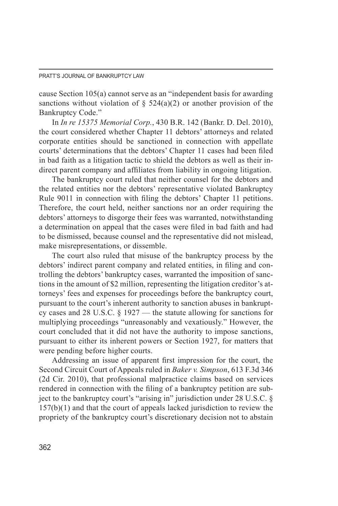cause Section 105(a) cannot serve as an "independent basis for awarding sanctions without violation of  $\S$  524(a)(2) or another provision of the Bankruptcy Code."

In *In re 15375 Memorial Corp.*, 430 B.R. 142 (Bankr. D. Del. 2010), the court considered whether Chapter 11 debtors' attorneys and related corporate entities should be sanctioned in connection with appellate courts' determinations that the debtors' Chapter 11 cases had been filed in bad faith as a litigation tactic to shield the debtors as well as their indirect parent company and affiliates from liability in ongoing litigation.

The bankruptcy court ruled that neither counsel for the debtors and the related entities nor the debtors' representative violated Bankruptcy Rule 9011 in connection with filing the debtors' Chapter 11 petitions. Therefore, the court held, neither sanctions nor an order requiring the debtors' attorneys to disgorge their fees was warranted, notwithstanding a determination on appeal that the cases were filed in bad faith and had to be dismissed, because counsel and the representative did not mislead, make misrepresentations, or dissemble.

The court also ruled that misuse of the bankruptcy process by the debtors' indirect parent company and related entities, in filing and controlling the debtors' bankruptcy cases, warranted the imposition of sanctions in the amount of \$2 million, representing the litigation creditor's attorneys' fees and expenses for proceedings before the bankruptcy court, pursuant to the court's inherent authority to sanction abuses in bankruptcy cases and 28 U.S.C. § 1927 — the statute allowing for sanctions for multiplying proceedings "unreasonably and vexatiously." However, the court concluded that it did not have the authority to impose sanctions, pursuant to either its inherent powers or Section 1927, for matters that were pending before higher courts.

Addressing an issue of apparent first impression for the court, the Second Circuit Court of Appeals ruled in *Baker v. Simpson*, 613 F.3d 346 (2d Cir. 2010), that professional malpractice claims based on services rendered in connection with the filing of a bankruptcy petition are subject to the bankruptcy court's "arising in" jurisdiction under 28 U.S.C. § 157(b)(1) and that the court of appeals lacked jurisdiction to review the propriety of the bankruptcy court's discretionary decision not to abstain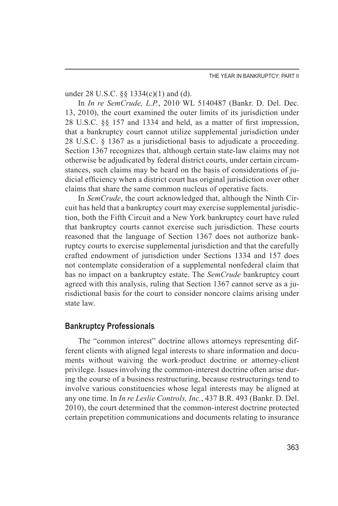under 28 U.S.C. §§ 1334(c)(1) and (d).

In *In re SemCrude, L.P.*, 2010 WL 5140487 (Bankr. D. Del. Dec. 13, 2010), the court examined the outer limits of its jurisdiction under 28 U.S.C. §§ 157 and 1334 and held, as a matter of first impression, that a bankruptcy court cannot utilize supplemental jurisdiction under 28 U.S.C. § 1367 as a jurisdictional basis to adjudicate a proceeding. Section 1367 recognizes that, although certain state-law claims may not otherwise be adjudicated by federal district courts, under certain circumstances, such claims may be heard on the basis of considerations of judicial efficiency when a district court has original jurisdiction over other claims that share the same common nucleus of operative facts.

In *SemCrude*, the court acknowledged that, although the Ninth Circuit has held that a bankruptcy court may exercise supplemental jurisdiction, both the Fifth Circuit and a New York bankruptcy court have ruled that bankruptcy courts cannot exercise such jurisdiction. These courts reasoned that the language of Section 1367 does not authorize bankruptcy courts to exercise supplemental jurisdiction and that the carefully crafted endowment of jurisdiction under Sections 1334 and 157 does not contemplate consideration of a supplemental nonfederal claim that has no impact on a bankruptcy estate. The *SemCrude* bankruptcy court agreed with this analysis, ruling that Section 1367 cannot serve as a jurisdictional basis for the court to consider noncore claims arising under state law.

## **Bankruptcy Professionals**

The "common interest" doctrine allows attorneys representing different clients with aligned legal interests to share information and documents without waiving the work-product doctrine or attorney-client privilege. Issues involving the common-interest doctrine often arise during the course of a business restructuring, because restructurings tend to involve various constituencies whose legal interests may be aligned at any one time. In *In re Leslie Controls, Inc.*, 437 B.R. 493 (Bankr. D. Del. 2010), the court determined that the common-interest doctrine protected certain prepetition communications and documents relating to insurance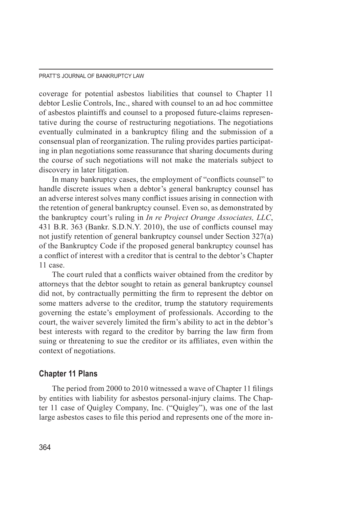coverage for potential asbestos liabilities that counsel to Chapter 11 debtor Leslie Controls, Inc., shared with counsel to an ad hoc committee of asbestos plaintiffs and counsel to a proposed future-claims representative during the course of restructuring negotiations. The negotiations eventually culminated in a bankruptcy filing and the submission of a consensual plan of reorganization. The ruling provides parties participating in plan negotiations some reassurance that sharing documents during the course of such negotiations will not make the materials subject to discovery in later litigation.

In many bankruptcy cases, the employment of "conflicts counsel" to handle discrete issues when a debtor's general bankruptcy counsel has an adverse interest solves many conflict issues arising in connection with the retention of general bankruptcy counsel. Even so, as demonstrated by the bankruptcy court's ruling in *In re Project Orange Associates, LLC*, 431 B.R. 363 (Bankr. S.D.N.Y. 2010), the use of conflicts counsel may not justify retention of general bankruptcy counsel under Section 327(a) of the Bankruptcy Code if the proposed general bankruptcy counsel has a conflict of interest with a creditor that is central to the debtor's Chapter 11 case.

The court ruled that a conflicts waiver obtained from the creditor by attorneys that the debtor sought to retain as general bankruptcy counsel did not, by contractually permitting the firm to represent the debtor on some matters adverse to the creditor, trump the statutory requirements governing the estate's employment of professionals. According to the court, the waiver severely limited the firm's ability to act in the debtor's best interests with regard to the creditor by barring the law firm from suing or threatening to sue the creditor or its affiliates, even within the context of negotiations.

## **Chapter 11 Plans**

The period from 2000 to 2010 witnessed a wave of Chapter 11 filings by entities with liability for asbestos personal-injury claims. The Chapter 11 case of Quigley Company, Inc. ("Quigley"), was one of the last large asbestos cases to file this period and represents one of the more in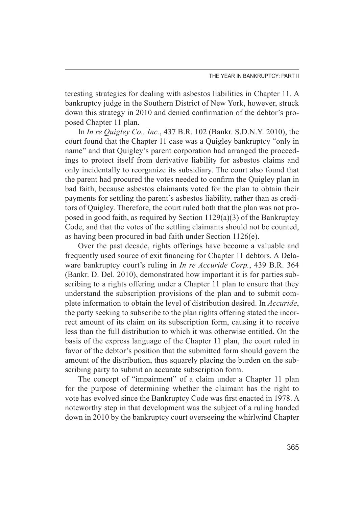teresting strategies for dealing with asbestos liabilities in Chapter 11. A bankruptcy judge in the Southern District of New York, however, struck down this strategy in 2010 and denied confirmation of the debtor's proposed Chapter 11 plan.

In *In re Quigley Co., Inc.*, 437 B.R. 102 (Bankr. S.D.N.Y. 2010), the court found that the Chapter 11 case was a Quigley bankruptcy "only in name" and that Quigley's parent corporation had arranged the proceedings to protect itself from derivative liability for asbestos claims and only incidentally to reorganize its subsidiary. The court also found that the parent had procured the votes needed to confirm the Quigley plan in bad faith, because asbestos claimants voted for the plan to obtain their payments for settling the parent's asbestos liability, rather than as creditors of Quigley. Therefore, the court ruled both that the plan was not proposed in good faith, as required by Section 1129(a)(3) of the Bankruptcy Code, and that the votes of the settling claimants should not be counted, as having been procured in bad faith under Section 1126(e).

Over the past decade, rights offerings have become a valuable and frequently used source of exit financing for Chapter 11 debtors. A Delaware bankruptcy court's ruling in *In re Accuride Corp.*, 439 B.R. 364 (Bankr. D. Del. 2010), demonstrated how important it is for parties subscribing to a rights offering under a Chapter 11 plan to ensure that they understand the subscription provisions of the plan and to submit complete information to obtain the level of distribution desired. In *Accuride*, the party seeking to subscribe to the plan rights offering stated the incorrect amount of its claim on its subscription form, causing it to receive less than the full distribution to which it was otherwise entitled. On the basis of the express language of the Chapter 11 plan, the court ruled in favor of the debtor's position that the submitted form should govern the amount of the distribution, thus squarely placing the burden on the subscribing party to submit an accurate subscription form.

The concept of "impairment" of a claim under a Chapter 11 plan for the purpose of determining whether the claimant has the right to vote has evolved since the Bankruptcy Code was first enacted in 1978. A noteworthy step in that development was the subject of a ruling handed down in 2010 by the bankruptcy court overseeing the whirlwind Chapter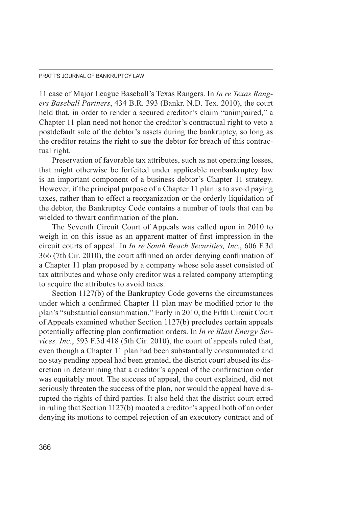11 case of Major League Baseball's Texas Rangers. In *In re Texas Rangers Baseball Partners*, 434 B.R. 393 (Bankr. N.D. Tex. 2010), the court held that, in order to render a secured creditor's claim "unimpaired," a Chapter 11 plan need not honor the creditor's contractual right to veto a postdefault sale of the debtor's assets during the bankruptcy, so long as the creditor retains the right to sue the debtor for breach of this contractual right.

Preservation of favorable tax attributes, such as net operating losses, that might otherwise be forfeited under applicable nonbankruptcy law is an important component of a business debtor's Chapter 11 strategy. However, if the principal purpose of a Chapter 11 plan is to avoid paying taxes, rather than to effect a reorganization or the orderly liquidation of the debtor, the Bankruptcy Code contains a number of tools that can be wielded to thwart confirmation of the plan.

The Seventh Circuit Court of Appeals was called upon in 2010 to weigh in on this issue as an apparent matter of first impression in the circuit courts of appeal. In *In re South Beach Securities, Inc.*, 606 F.3d 366 (7th Cir. 2010), the court affirmed an order denying confirmation of a Chapter 11 plan proposed by a company whose sole asset consisted of tax attributes and whose only creditor was a related company attempting to acquire the attributes to avoid taxes.

Section 1127(b) of the Bankruptcy Code governs the circumstances under which a confirmed Chapter 11 plan may be modified prior to the plan's "substantial consummation." Early in 2010, the Fifth Circuit Court of Appeals examined whether Section 1127(b) precludes certain appeals potentially affecting plan confirmation orders. In *In re Blast Energy Services, Inc.*, 593 F.3d 418 (5th Cir. 2010), the court of appeals ruled that, even though a Chapter 11 plan had been substantially consummated and no stay pending appeal had been granted, the district court abused its discretion in determining that a creditor's appeal of the confirmation order was equitably moot. The success of appeal, the court explained, did not seriously threaten the success of the plan, nor would the appeal have disrupted the rights of third parties. It also held that the district court erred in ruling that Section 1127(b) mooted a creditor's appeal both of an order denying its motions to compel rejection of an executory contract and of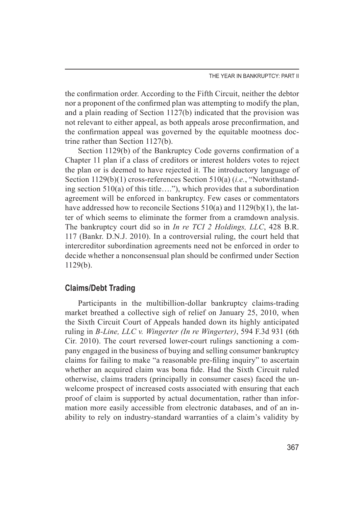the confirmation order. According to the Fifth Circuit, neither the debtor nor a proponent of the confirmed plan was attempting to modify the plan, and a plain reading of Section 1127(b) indicated that the provision was not relevant to either appeal, as both appeals arose preconfirmation, and the confirmation appeal was governed by the equitable mootness doctrine rather than Section 1127(b).

Section 1129(b) of the Bankruptcy Code governs confirmation of a Chapter 11 plan if a class of creditors or interest holders votes to reject the plan or is deemed to have rejected it. The introductory language of Section 1129(b)(1) cross-references Section 510(a) (*i.e.*, "Notwithstanding section 510(a) of this title…."), which provides that a subordination agreement will be enforced in bankruptcy. Few cases or commentators have addressed how to reconcile Sections 510(a) and 1129(b)(1), the latter of which seems to eliminate the former from a cramdown analysis. The bankruptcy court did so in *In re TCI 2 Holdings, LLC*, 428 B.R. 117 (Bankr. D.N.J. 2010). In a controversial ruling, the court held that intercreditor subordination agreements need not be enforced in order to decide whether a nonconsensual plan should be confirmed under Section 1129(b).

## **Claims/Debt Trading**

Participants in the multibillion-dollar bankruptcy claims-trading market breathed a collective sigh of relief on January 25, 2010, when the Sixth Circuit Court of Appeals handed down its highly anticipated ruling in *B-Line, LLC v. Wingerter (In re Wingerter)*, 594 F.3d 931 (6th Cir. 2010). The court reversed lower-court rulings sanctioning a company engaged in the business of buying and selling consumer bankruptcy claims for failing to make "a reasonable pre-filing inquiry" to ascertain whether an acquired claim was bona fide. Had the Sixth Circuit ruled otherwise, claims traders (principally in consumer cases) faced the unwelcome prospect of increased costs associated with ensuring that each proof of claim is supported by actual documentation, rather than information more easily accessible from electronic databases, and of an inability to rely on industry-standard warranties of a claim's validity by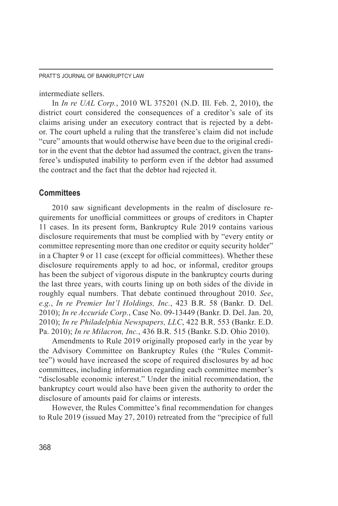intermediate sellers.

In *In re UAL Corp.*, 2010 WL 375201 (N.D. Ill. Feb. 2, 2010), the district court considered the consequences of a creditor's sale of its claims arising under an executory contract that is rejected by a debtor. The court upheld a ruling that the transferee's claim did not include "cure" amounts that would otherwise have been due to the original creditor in the event that the debtor had assumed the contract, given the transferee's undisputed inability to perform even if the debtor had assumed the contract and the fact that the debtor had rejected it.

## **Committees**

2010 saw significant developments in the realm of disclosure requirements for unofficial committees or groups of creditors in Chapter 11 cases. In its present form, Bankruptcy Rule 2019 contains various disclosure requirements that must be complied with by "every entity or committee representing more than one creditor or equity security holder" in a Chapter 9 or 11 case (except for official committees). Whether these disclosure requirements apply to ad hoc, or informal, creditor groups has been the subject of vigorous dispute in the bankruptcy courts during the last three years, with courts lining up on both sides of the divide in roughly equal numbers. That debate continued throughout 2010. *See*, *e.g.*, *In re Premier Int'l Holdings, Inc.*, 423 B.R. 58 (Bankr. D. Del. 2010); *In re Accuride Corp.*, Case No. 09-13449 (Bankr. D. Del. Jan. 20, 2010); *In re Philadelphia Newspapers, LLC*, 422 B.R. 553 (Bankr. E.D. Pa. 2010); *In re Milacron, Inc.*, 436 B.R. 515 (Bankr. S.D. Ohio 2010).

Amendments to Rule 2019 originally proposed early in the year by the Advisory Committee on Bankruptcy Rules (the "Rules Committee") would have increased the scope of required disclosures by ad hoc committees, including information regarding each committee member's "disclosable economic interest." Under the initial recommendation, the bankruptcy court would also have been given the authority to order the disclosure of amounts paid for claims or interests.

However, the Rules Committee's final recommendation for changes to Rule 2019 (issued May 27, 2010) retreated from the "precipice of full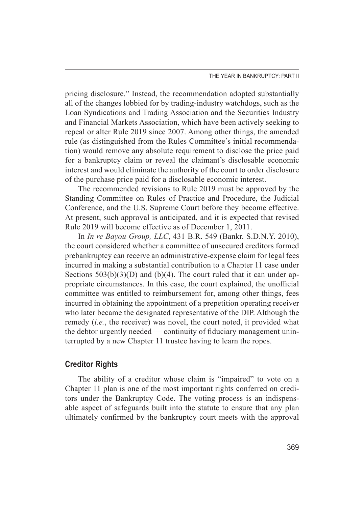pricing disclosure." Instead, the recommendation adopted substantially all of the changes lobbied for by trading-industry watchdogs, such as the Loan Syndications and Trading Association and the Securities Industry and Financial Markets Association, which have been actively seeking to repeal or alter Rule 2019 since 2007. Among other things, the amended rule (as distinguished from the Rules Committee's initial recommendation) would remove any absolute requirement to disclose the price paid for a bankruptcy claim or reveal the claimant's disclosable economic interest and would eliminate the authority of the court to order disclosure of the purchase price paid for a disclosable economic interest.

The recommended revisions to Rule 2019 must be approved by the Standing Committee on Rules of Practice and Procedure, the Judicial Conference, and the U.S. Supreme Court before they become effective. At present, such approval is anticipated, and it is expected that revised Rule 2019 will become effective as of December 1, 2011.

In *In re Bayou Group, LLC*, 431 B.R. 549 (Bankr. S.D.N.Y. 2010), the court considered whether a committee of unsecured creditors formed prebankruptcy can receive an administrative-expense claim for legal fees incurred in making a substantial contribution to a Chapter 11 case under Sections  $503(b)(3)(D)$  and  $(b)(4)$ . The court ruled that it can under appropriate circumstances. In this case, the court explained, the unofficial committee was entitled to reimbursement for, among other things, fees incurred in obtaining the appointment of a prepetition operating receiver who later became the designated representative of the DIP. Although the remedy (*i.e.*, the receiver) was novel, the court noted, it provided what the debtor urgently needed — continuity of fiduciary management uninterrupted by a new Chapter 11 trustee having to learn the ropes.

#### **Creditor Rights**

The ability of a creditor whose claim is "impaired" to vote on a Chapter 11 plan is one of the most important rights conferred on creditors under the Bankruptcy Code. The voting process is an indispensable aspect of safeguards built into the statute to ensure that any plan ultimately confirmed by the bankruptcy court meets with the approval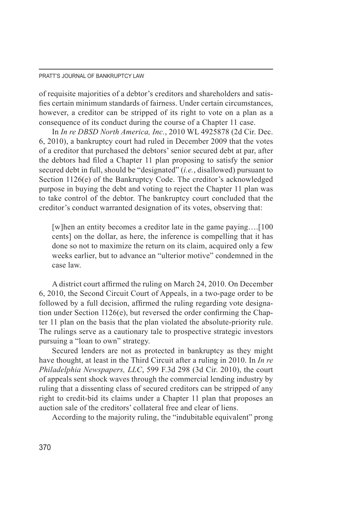of requisite majorities of a debtor's creditors and shareholders and satisfies certain minimum standards of fairness. Under certain circumstances, however, a creditor can be stripped of its right to vote on a plan as a consequence of its conduct during the course of a Chapter 11 case.

In *In re DBSD North America, Inc.*, 2010 WL 4925878 (2d Cir. Dec. 6, 2010), a bankruptcy court had ruled in December 2009 that the votes of a creditor that purchased the debtors' senior secured debt at par, after the debtors had filed a Chapter 11 plan proposing to satisfy the senior secured debt in full, should be "designated" (*i.e.*, disallowed) pursuant to Section 1126(e) of the Bankruptcy Code. The creditor's acknowledged purpose in buying the debt and voting to reject the Chapter 11 plan was to take control of the debtor. The bankruptcy court concluded that the creditor's conduct warranted designation of its votes, observing that:

[w]hen an entity becomes a creditor late in the game paying….[100 cents] on the dollar, as here, the inference is compelling that it has done so not to maximize the return on its claim, acquired only a few weeks earlier, but to advance an "ulterior motive" condemned in the case law.

A district court affirmed the ruling on March 24, 2010. On December 6, 2010, the Second Circuit Court of Appeals, in a two-page order to be followed by a full decision, affirmed the ruling regarding vote designation under Section 1126(e), but reversed the order confirming the Chapter 11 plan on the basis that the plan violated the absolute-priority rule. The rulings serve as a cautionary tale to prospective strategic investors pursuing a "loan to own" strategy.

Secured lenders are not as protected in bankruptcy as they might have thought, at least in the Third Circuit after a ruling in 2010. In *In re Philadelphia Newspapers, LLC*, 599 F.3d 298 (3d Cir. 2010), the court of appeals sent shock waves through the commercial lending industry by ruling that a dissenting class of secured creditors can be stripped of any right to credit-bid its claims under a Chapter 11 plan that proposes an auction sale of the creditors' collateral free and clear of liens.

According to the majority ruling, the "indubitable equivalent" prong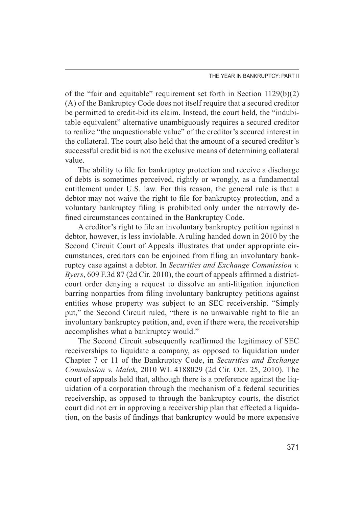of the "fair and equitable" requirement set forth in Section 1129(b)(2) (A) of the Bankruptcy Code does not itself require that a secured creditor be permitted to credit-bid its claim. Instead, the court held, the "indubitable equivalent" alternative unambiguously requires a secured creditor to realize "the unquestionable value" of the creditor's secured interest in the collateral. The court also held that the amount of a secured creditor's successful credit bid is not the exclusive means of determining collateral value.

The ability to file for bankruptcy protection and receive a discharge of debts is sometimes perceived, rightly or wrongly, as a fundamental entitlement under U.S. law. For this reason, the general rule is that a debtor may not waive the right to file for bankruptcy protection, and a voluntary bankruptcy filing is prohibited only under the narrowly defined circumstances contained in the Bankruptcy Code.

A creditor's right to file an involuntary bankruptcy petition against a debtor, however, is less inviolable. A ruling handed down in 2010 by the Second Circuit Court of Appeals illustrates that under appropriate circumstances, creditors can be enjoined from filing an involuntary bankruptcy case against a debtor. In *Securities and Exchange Commission v. Byers*, 609 F.3d 87 (2d Cir. 2010), the court of appeals affirmed a districtcourt order denying a request to dissolve an anti-litigation injunction barring nonparties from filing involuntary bankruptcy petitions against entities whose property was subject to an SEC receivership. "Simply put," the Second Circuit ruled, "there is no unwaivable right to file an involuntary bankruptcy petition, and, even if there were, the receivership accomplishes what a bankruptcy would."

The Second Circuit subsequently reaffirmed the legitimacy of SEC receiverships to liquidate a company, as opposed to liquidation under Chapter 7 or 11 of the Bankruptcy Code, in *Securities and Exchange Commission v. Malek*, 2010 WL 4188029 (2d Cir. Oct. 25, 2010). The court of appeals held that, although there is a preference against the liquidation of a corporation through the mechanism of a federal securities receivership, as opposed to through the bankruptcy courts, the district court did not err in approving a receivership plan that effected a liquidation, on the basis of findings that bankruptcy would be more expensive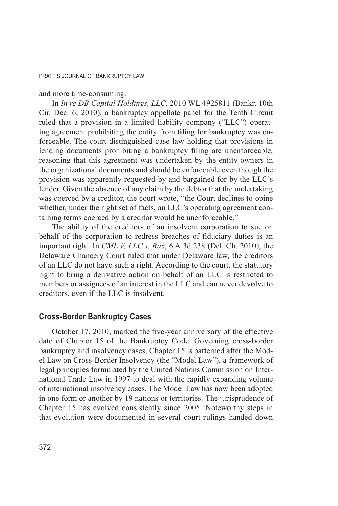#### and more time-consuming.

In *In re DB Capital Holdings, LLC*, 2010 WL 4925811 (Bankr. 10th Cir. Dec. 6, 2010), a bankruptcy appellate panel for the Tenth Circuit ruled that a provision in a limited liability company ("LLC") operating agreement prohibiting the entity from filing for bankruptcy was enforceable. The court distinguished case law holding that provisions in lending documents prohibiting a bankruptcy filing are unenforceable, reasoning that this agreement was undertaken by the entity owners in the organizational documents and should be enforceable even though the provision was apparently requested by and bargained for by the LLC's lender. Given the absence of any claim by the debtor that the undertaking was coerced by a creditor, the court wrote, "the Court declines to opine whether, under the right set of facts, an LLC's operating agreement containing terms coerced by a creditor would be unenforceable."

The ability of the creditors of an insolvent corporation to sue on behalf of the corporation to redress breaches of fiduciary duties is an important right. In *CML V, LLC v. Bax*, 6 A.3d 238 (Del. Ch. 2010), the Delaware Chancery Court ruled that under Delaware law, the creditors of an LLC do not have such a right. According to the court, the statutory right to bring a derivative action on behalf of an LLC is restricted to members or assignees of an interest in the LLC and can never devolve to creditors, even if the LLC is insolvent.

## **Cross-Border Bankruptcy Cases**

October 17, 2010, marked the five-year anniversary of the effective date of Chapter 15 of the Bankruptcy Code. Governing cross-border bankruptcy and insolvency cases, Chapter 15 is patterned after the Model Law on Cross-Border Insolvency (the "Model Law"), a framework of legal principles formulated by the United Nations Commission on International Trade Law in 1997 to deal with the rapidly expanding volume of international insolvency cases. The Model Law has now been adopted in one form or another by 19 nations or territories. The jurisprudence of Chapter 15 has evolved consistently since 2005. Noteworthy steps in that evolution were documented in several court rulings handed down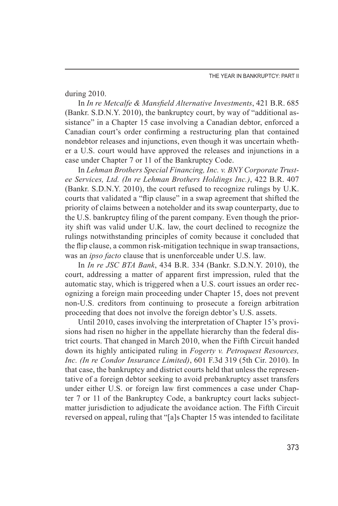#### during 2010.

In *In re Metcalfe & Mansfield Alternative Investments*, 421 B.R. 685 (Bankr. S.D.N.Y. 2010), the bankruptcy court, by way of "additional assistance" in a Chapter 15 case involving a Canadian debtor, enforced a Canadian court's order confirming a restructuring plan that contained nondebtor releases and injunctions, even though it was uncertain whether a U.S. court would have approved the releases and injunctions in a case under Chapter 7 or 11 of the Bankruptcy Code.

In *Lehman Brothers Special Financing, Inc. v. BNY Corporate Trustee Services, Ltd. (In re Lehman Brothers Holdings Inc.)*, 422 B.R. 407 (Bankr. S.D.N.Y. 2010), the court refused to recognize rulings by U.K. courts that validated a "flip clause" in a swap agreement that shifted the priority of claims between a noteholder and its swap counterparty, due to the U.S. bankruptcy filing of the parent company. Even though the priority shift was valid under U.K. law, the court declined to recognize the rulings notwithstanding principles of comity because it concluded that the flip clause, a common risk-mitigation technique in swap transactions, was an *ipso facto* clause that is unenforceable under U.S. law.

In *In re JSC BTA Bank*, 434 B.R. 334 (Bankr. S.D.N.Y. 2010), the court, addressing a matter of apparent first impression, ruled that the automatic stay, which is triggered when a U.S. court issues an order recognizing a foreign main proceeding under Chapter 15, does not prevent non-U.S. creditors from continuing to prosecute a foreign arbitration proceeding that does not involve the foreign debtor's U.S. assets.

Until 2010, cases involving the interpretation of Chapter 15's provisions had risen no higher in the appellate hierarchy than the federal district courts. That changed in March 2010, when the Fifth Circuit handed down its highly anticipated ruling in *Fogerty v. Petroquest Resources, Inc. (In re Condor Insurance Limited)*, 601 F.3d 319 (5th Cir. 2010). In that case, the bankruptcy and district courts held that unless the representative of a foreign debtor seeking to avoid prebankruptcy asset transfers under either U.S. or foreign law first commences a case under Chapter 7 or 11 of the Bankruptcy Code, a bankruptcy court lacks subjectmatter jurisdiction to adjudicate the avoidance action. The Fifth Circuit reversed on appeal, ruling that "[a]s Chapter 15 was intended to facilitate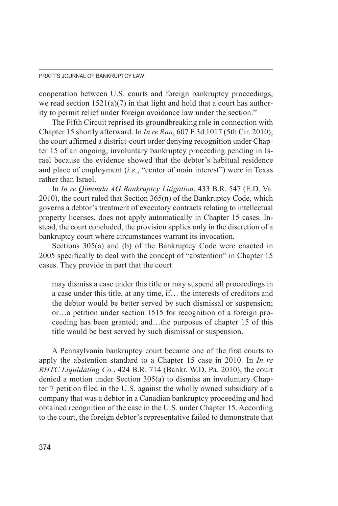cooperation between U.S. courts and foreign bankruptcy proceedings, we read section  $1521(a)(7)$  in that light and hold that a court has authority to permit relief under foreign avoidance law under the section."

The Fifth Circuit reprised its groundbreaking role in connection with Chapter 15 shortly afterward. In *In re Ran*, 607 F.3d 1017 (5th Cir. 2010), the court affirmed a district-court order denying recognition under Chapter 15 of an ongoing, involuntary bankruptcy proceeding pending in Israel because the evidence showed that the debtor's habitual residence and place of employment (*i.e.*, "center of main interest") were in Texas rather than Israel.

In *In re Qimonda AG Bankruptcy Litigation*, 433 B.R. 547 (E.D. Va. 2010), the court ruled that Section 365(n) of the Bankruptcy Code, which governs a debtor's treatment of executory contracts relating to intellectual property licenses, does not apply automatically in Chapter 15 cases. Instead, the court concluded, the provision applies only in the discretion of a bankruptcy court where circumstances warrant its invocation.

Sections 305(a) and (b) of the Bankruptcy Code were enacted in 2005 specifically to deal with the concept of "abstention" in Chapter 15 cases. They provide in part that the court

may dismiss a case under this title or may suspend all proceedings in a case under this title, at any time, if… the interests of creditors and the debtor would be better served by such dismissal or suspension; or…a petition under section 1515 for recognition of a foreign proceeding has been granted; and…the purposes of chapter 15 of this title would be best served by such dismissal or suspension.

A Pennsylvania bankruptcy court became one of the first courts to apply the abstention standard to a Chapter 15 case in 2010. In *In re RHTC Liquidating Co.*, 424 B.R. 714 (Bankr. W.D. Pa. 2010), the court denied a motion under Section 305(a) to dismiss an involuntary Chapter 7 petition filed in the U.S. against the wholly owned subsidiary of a company that was a debtor in a Canadian bankruptcy proceeding and had obtained recognition of the case in the U.S. under Chapter 15. According to the court, the foreign debtor's representative failed to demonstrate that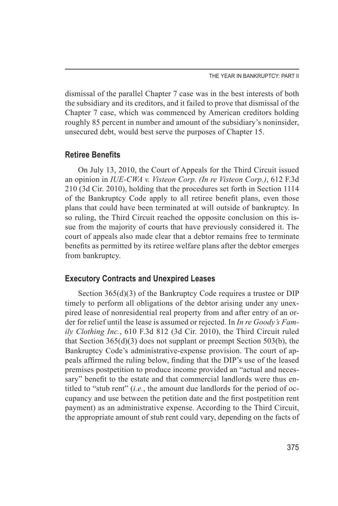dismissal of the parallel Chapter 7 case was in the best interests of both the subsidiary and its creditors, and it failed to prove that dismissal of the Chapter 7 case, which was commenced by American creditors holding roughly 85 percent in number and amount of the subsidiary's noninsider, unsecured debt, would best serve the purposes of Chapter 15.

## **Retiree Benefits**

On July 13, 2010, the Court of Appeals for the Third Circuit issued an opinion in *IUE-CWA v. Visteon Corp. (In re Visteon Corp.)*, 612 F.3d 210 (3d Cir. 2010), holding that the procedures set forth in Section 1114 of the Bankruptcy Code apply to all retiree benefit plans, even those plans that could have been terminated at will outside of bankruptcy. In so ruling, the Third Circuit reached the opposite conclusion on this issue from the majority of courts that have previously considered it. The court of appeals also made clear that a debtor remains free to terminate benefits as permitted by its retiree welfare plans after the debtor emerges from bankruptcy.

## **Executory Contracts and Unexpired Leases**

Section 365(d)(3) of the Bankruptcy Code requires a trustee or DIP timely to perform all obligations of the debtor arising under any unexpired lease of nonresidential real property from and after entry of an order for relief until the lease is assumed or rejected. In *In re Goody's Family Clothing Inc.*, 610 F.3d 812 (3d Cir. 2010), the Third Circuit ruled that Section  $365(d)(3)$  does not supplant or preempt Section  $503(b)$ , the Bankruptcy Code's administrative-expense provision. The court of appeals affirmed the ruling below, finding that the DIP's use of the leased premises postpetition to produce income provided an "actual and necessary" benefit to the estate and that commercial landlords were thus entitled to "stub rent" (*i.e.*, the amount due landlords for the period of occupancy and use between the petition date and the first postpetition rent payment) as an administrative expense. According to the Third Circuit, the appropriate amount of stub rent could vary, depending on the facts of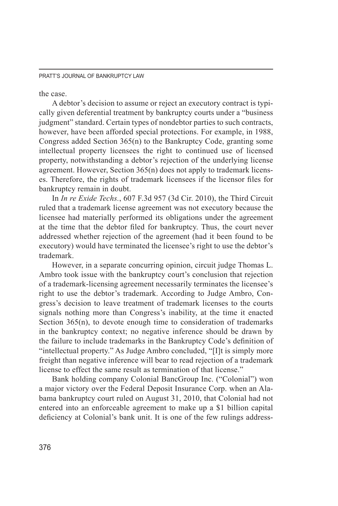the case.

A debtor's decision to assume or reject an executory contract is typically given deferential treatment by bankruptcy courts under a "business judgment" standard. Certain types of nondebtor parties to such contracts, however, have been afforded special protections. For example, in 1988, Congress added Section 365(n) to the Bankruptcy Code, granting some intellectual property licensees the right to continued use of licensed property, notwithstanding a debtor's rejection of the underlying license agreement. However, Section 365(n) does not apply to trademark licenses. Therefore, the rights of trademark licensees if the licensor files for bankruptcy remain in doubt.

In *In re Exide Techs.*, 607 F.3d 957 (3d Cir. 2010), the Third Circuit ruled that a trademark license agreement was not executory because the licensee had materially performed its obligations under the agreement at the time that the debtor filed for bankruptcy. Thus, the court never addressed whether rejection of the agreement (had it been found to be executory) would have terminated the licensee's right to use the debtor's trademark.

However, in a separate concurring opinion, circuit judge Thomas L. Ambro took issue with the bankruptcy court's conclusion that rejection of a trademark-licensing agreement necessarily terminates the licensee's right to use the debtor's trademark. According to Judge Ambro, Congress's decision to leave treatment of trademark licenses to the courts signals nothing more than Congress's inability, at the time it enacted Section 365(n), to devote enough time to consideration of trademarks in the bankruptcy context; no negative inference should be drawn by the failure to include trademarks in the Bankruptcy Code's definition of "intellectual property." As Judge Ambro concluded, "[I]t is simply more freight than negative inference will bear to read rejection of a trademark license to effect the same result as termination of that license."

Bank holding company Colonial BancGroup Inc. ("Colonial") won a major victory over the Federal Deposit Insurance Corp. when an Alabama bankruptcy court ruled on August 31, 2010, that Colonial had not entered into an enforceable agreement to make up a \$1 billion capital deficiency at Colonial's bank unit. It is one of the few rulings address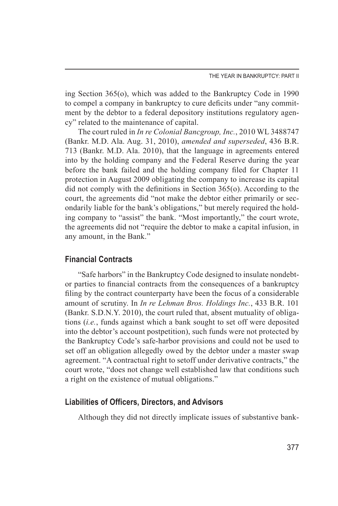ing Section 365(o), which was added to the Bankruptcy Code in 1990 to compel a company in bankruptcy to cure deficits under "any commitment by the debtor to a federal depository institutions regulatory agency" related to the maintenance of capital.

The court ruled in *In re Colonial Bancgroup, Inc.*, 2010 WL 3488747 (Bankr. M.D. Ala. Aug. 31, 2010), *amended and superseded*, 436 B.R. 713 (Bankr. M.D. Ala. 2010), that the language in agreements entered into by the holding company and the Federal Reserve during the year before the bank failed and the holding company filed for Chapter 11 protection in August 2009 obligating the company to increase its capital did not comply with the definitions in Section 365(o). According to the court, the agreements did "not make the debtor either primarily or secondarily liable for the bank's obligations," but merely required the holding company to "assist" the bank. "Most importantly," the court wrote, the agreements did not "require the debtor to make a capital infusion, in any amount, in the Bank."

## **Financial Contracts**

"Safe harbors" in the Bankruptcy Code designed to insulate nondebtor parties to financial contracts from the consequences of a bankruptcy filing by the contract counterparty have been the focus of a considerable amount of scrutiny. In *In re Lehman Bros. Holdings Inc.*, 433 B.R. 101 (Bankr. S.D.N.Y. 2010), the court ruled that, absent mutuality of obligations (*i.e.*, funds against which a bank sought to set off were deposited into the debtor's account postpetition), such funds were not protected by the Bankruptcy Code's safe-harbor provisions and could not be used to set off an obligation allegedly owed by the debtor under a master swap agreement. "A contractual right to setoff under derivative contracts," the court wrote, "does not change well established law that conditions such a right on the existence of mutual obligations."

## **Liabilities of Officers, Directors, and Advisors**

Although they did not directly implicate issues of substantive bank-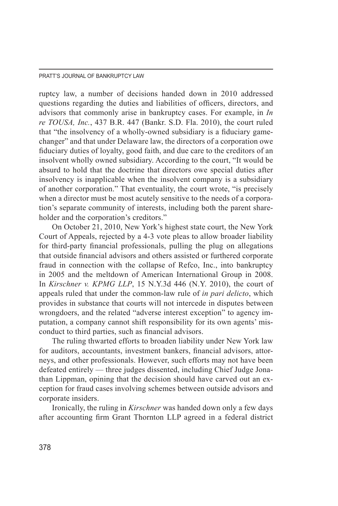ruptcy law, a number of decisions handed down in 2010 addressed questions regarding the duties and liabilities of officers, directors, and advisors that commonly arise in bankruptcy cases. For example, in *In re TOUSA, Inc.*, 437 B.R. 447 (Bankr. S.D. Fla. 2010), the court ruled that "the insolvency of a wholly-owned subsidiary is a fiduciary gamechanger" and that under Delaware law, the directors of a corporation owe fiduciary duties of loyalty, good faith, and due care to the creditors of an insolvent wholly owned subsidiary. According to the court, "It would be absurd to hold that the doctrine that directors owe special duties after insolvency is inapplicable when the insolvent company is a subsidiary of another corporation." That eventuality, the court wrote, "is precisely when a director must be most acutely sensitive to the needs of a corporation's separate community of interests, including both the parent shareholder and the corporation's creditors."

On October 21, 2010, New York's highest state court, the New York Court of Appeals, rejected by a 4-3 vote pleas to allow broader liability for third-party financial professionals, pulling the plug on allegations that outside financial advisors and others assisted or furthered corporate fraud in connection with the collapse of Refco, Inc., into bankruptcy in 2005 and the meltdown of American International Group in 2008. In *Kirschner v. KPMG LLP*, 15 N.Y.3d 446 (N.Y. 2010), the court of appeals ruled that under the common-law rule of *in pari delicto*, which provides in substance that courts will not intercede in disputes between wrongdoers, and the related "adverse interest exception" to agency imputation, a company cannot shift responsibility for its own agents' misconduct to third parties, such as financial advisors.

The ruling thwarted efforts to broaden liability under New York law for auditors, accountants, investment bankers, financial advisors, attorneys, and other professionals. However, such efforts may not have been defeated entirely — three judges dissented, including Chief Judge Jonathan Lippman, opining that the decision should have carved out an exception for fraud cases involving schemes between outside advisors and corporate insiders.

Ironically, the ruling in *Kirschner* was handed down only a few days after accounting firm Grant Thornton LLP agreed in a federal district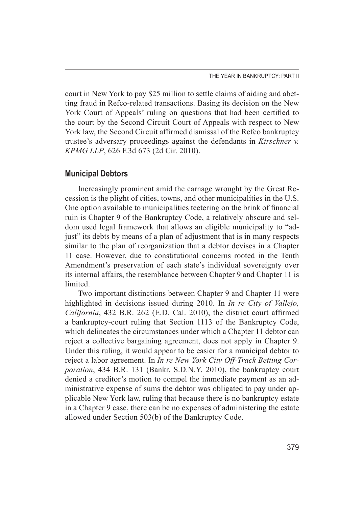court in New York to pay \$25 million to settle claims of aiding and abetting fraud in Refco-related transactions. Basing its decision on the New York Court of Appeals' ruling on questions that had been certified to the court by the Second Circuit Court of Appeals with respect to New York law, the Second Circuit affirmed dismissal of the Refco bankruptcy trustee's adversary proceedings against the defendants in *Kirschner v. KPMG LLP*, 626 F.3d 673 (2d Cir. 2010).

## **Municipal Debtors**

Increasingly prominent amid the carnage wrought by the Great Recession is the plight of cities, towns, and other municipalities in the U.S. One option available to municipalities teetering on the brink of financial ruin is Chapter 9 of the Bankruptcy Code, a relatively obscure and seldom used legal framework that allows an eligible municipality to "adjust" its debts by means of a plan of adjustment that is in many respects similar to the plan of reorganization that a debtor devises in a Chapter 11 case. However, due to constitutional concerns rooted in the Tenth Amendment's preservation of each state's individual sovereignty over its internal affairs, the resemblance between Chapter 9 and Chapter 11 is **limited** 

Two important distinctions between Chapter 9 and Chapter 11 were highlighted in decisions issued during 2010. In *In re City of Vallejo, California*, 432 B.R. 262 (E.D. Cal. 2010), the district court affirmed a bankruptcy-court ruling that Section 1113 of the Bankruptcy Code, which delineates the circumstances under which a Chapter 11 debtor can reject a collective bargaining agreement, does not apply in Chapter 9. Under this ruling, it would appear to be easier for a municipal debtor to reject a labor agreement. In *In re New York City Off-Track Betting Corporation*, 434 B.R. 131 (Bankr. S.D.N.Y. 2010), the bankruptcy court denied a creditor's motion to compel the immediate payment as an administrative expense of sums the debtor was obligated to pay under applicable New York law, ruling that because there is no bankruptcy estate in a Chapter 9 case, there can be no expenses of administering the estate allowed under Section 503(b) of the Bankruptcy Code.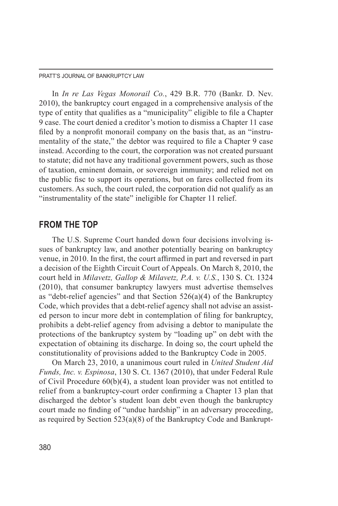In *In re Las Vegas Monorail Co.*, 429 B.R. 770 (Bankr. D. Nev. 2010), the bankruptcy court engaged in a comprehensive analysis of the type of entity that qualifies as a "municipality" eligible to file a Chapter 9 case. The court denied a creditor's motion to dismiss a Chapter 11 case filed by a nonprofit monorail company on the basis that, as an "instrumentality of the state," the debtor was required to file a Chapter 9 case instead. According to the court, the corporation was not created pursuant to statute; did not have any traditional government powers, such as those of taxation, eminent domain, or sovereign immunity; and relied not on the public fisc to support its operations, but on fares collected from its customers. As such, the court ruled, the corporation did not qualify as an "instrumentality of the state" ineligible for Chapter 11 relief.

## **FROM THE TOP**

The U.S. Supreme Court handed down four decisions involving issues of bankruptcy law, and another potentially bearing on bankruptcy venue, in 2010. In the first, the court affirmed in part and reversed in part a decision of the Eighth Circuit Court of Appeals. On March 8, 2010, the court held in *Milavetz, Gallop & Milavetz, P.A. v. U.S.*, 130 S. Ct. 1324 (2010), that consumer bankruptcy lawyers must advertise themselves as "debt-relief agencies" and that Section  $526(a)(4)$  of the Bankruptcy Code, which provides that a debt-relief agency shall not advise an assisted person to incur more debt in contemplation of filing for bankruptcy, prohibits a debt-relief agency from advising a debtor to manipulate the protections of the bankruptcy system by "loading up" on debt with the expectation of obtaining its discharge. In doing so, the court upheld the constitutionality of provisions added to the Bankruptcy Code in 2005.

On March 23, 2010, a unanimous court ruled in *United Student Aid Funds, Inc. v. Espinosa*, 130 S. Ct. 1367 (2010), that under Federal Rule of Civil Procedure 60(b)(4), a student loan provider was not entitled to relief from a bankruptcy-court order confirming a Chapter 13 plan that discharged the debtor's student loan debt even though the bankruptcy court made no finding of "undue hardship" in an adversary proceeding, as required by Section  $523(a)(8)$  of the Bankruptcy Code and Bankrupt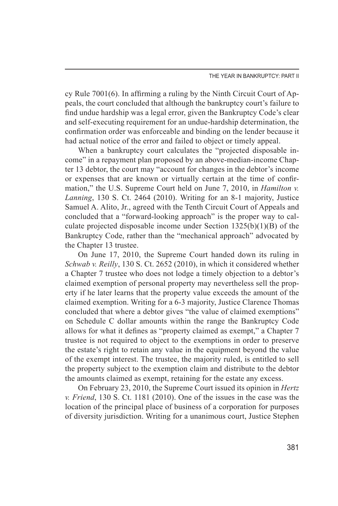cy Rule 7001(6). In affirming a ruling by the Ninth Circuit Court of Appeals, the court concluded that although the bankruptcy court's failure to find undue hardship was a legal error, given the Bankruptcy Code's clear and self-executing requirement for an undue-hardship determination, the confirmation order was enforceable and binding on the lender because it had actual notice of the error and failed to object or timely appeal.

When a bankruptcy court calculates the "projected disposable income" in a repayment plan proposed by an above-median-income Chapter 13 debtor, the court may "account for changes in the debtor's income or expenses that are known or virtually certain at the time of confirmation," the U.S. Supreme Court held on June 7, 2010, in *Hamilton v. Lanning*, 130 S. Ct. 2464 (2010). Writing for an 8-1 majority, Justice Samuel A. Alito, Jr., agreed with the Tenth Circuit Court of Appeals and concluded that a "forward-looking approach" is the proper way to calculate projected disposable income under Section  $1325(b)(1)(B)$  of the Bankruptcy Code, rather than the "mechanical approach" advocated by the Chapter 13 trustee.

On June 17, 2010, the Supreme Court handed down its ruling in *Schwab v. Reilly*, 130 S. Ct. 2652 (2010), in which it considered whether a Chapter 7 trustee who does not lodge a timely objection to a debtor's claimed exemption of personal property may nevertheless sell the property if he later learns that the property value exceeds the amount of the claimed exemption. Writing for a 6-3 majority, Justice Clarence Thomas concluded that where a debtor gives "the value of claimed exemptions" on Schedule C dollar amounts within the range the Bankruptcy Code allows for what it defines as "property claimed as exempt," a Chapter 7 trustee is not required to object to the exemptions in order to preserve the estate's right to retain any value in the equipment beyond the value of the exempt interest. The trustee, the majority ruled, is entitled to sell the property subject to the exemption claim and distribute to the debtor the amounts claimed as exempt, retaining for the estate any excess.

On February 23, 2010, the Supreme Court issued its opinion in *Hertz v. Friend*, 130 S. Ct. 1181 (2010). One of the issues in the case was the location of the principal place of business of a corporation for purposes of diversity jurisdiction. Writing for a unanimous court, Justice Stephen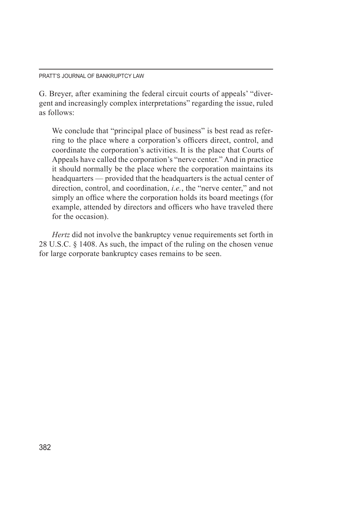G. Breyer, after examining the federal circuit courts of appeals' "divergent and increasingly complex interpretations" regarding the issue, ruled as follows:

We conclude that "principal place of business" is best read as referring to the place where a corporation's officers direct, control, and coordinate the corporation's activities. It is the place that Courts of Appeals have called the corporation's "nerve center." And in practice it should normally be the place where the corporation maintains its headquarters — provided that the headquarters is the actual center of direction, control, and coordination, *i.e.*, the "nerve center," and not simply an office where the corporation holds its board meetings (for example, attended by directors and officers who have traveled there for the occasion).

*Hertz* did not involve the bankruptcy venue requirements set forth in 28 U.S.C. § 1408. As such, the impact of the ruling on the chosen venue for large corporate bankruptcy cases remains to be seen.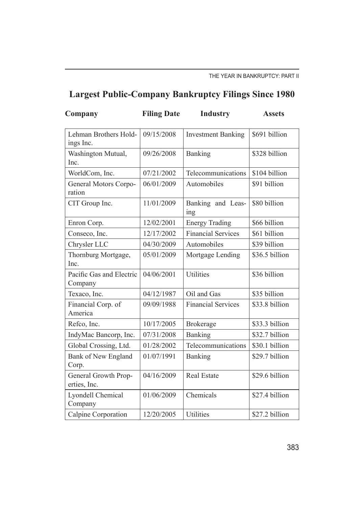## **Largest Public-Company Bankruptcy Filings Since 1980**

| Company                              | <b>Filing Date</b> | <b>Industry</b>           | <b>Assets</b>  |
|--------------------------------------|--------------------|---------------------------|----------------|
| Lehman Brothers Hold-<br>ings Inc.   | 09/15/2008         | <b>Investment Banking</b> | \$691 billion  |
| Washington Mutual,<br>Inc.           | 09/26/2008         | Banking                   | \$328 billion  |
| WorldCom, Inc.                       | 07/21/2002         | Telecommunications        | \$104 billion  |
| General Motors Corpo-<br>ration      | 06/01/2009         | Automobiles               | \$91 billion   |
| CIT Group Inc.                       | 11/01/2009         | Banking and Leas-<br>ing  | \$80 billion   |
| Enron Corp.                          | 12/02/2001         | <b>Energy Trading</b>     | \$66 billion   |
| Conseco, Inc.                        | 12/17/2002         | <b>Financial Services</b> | \$61 billion   |
| Chrysler LLC                         | 04/30/2009         | Automobiles               | \$39 billion   |
| Thornburg Mortgage,<br>Inc.          | 05/01/2009         | Mortgage Lending          | \$36.5 billion |
| Pacific Gas and Electric<br>Company  | 04/06/2001         | Utilities                 | \$36 billion   |
| Texaco, Inc.                         | 04/12/1987         | Oil and Gas               | \$35 billion   |
| Financial Corp. of<br>America        | 09/09/1988         | <b>Financial Services</b> | \$33.8 billion |
| Refco, Inc.                          | 10/17/2005         | <b>Brokerage</b>          | \$33.3 billion |
| IndyMac Bancorp, Inc.                | 07/31/2008         | Banking                   | \$32.7 billion |
| Global Crossing, Ltd.                | 01/28/2002         | Telecommunications        | \$30.1 billion |
| Bank of New England<br>Corp.         | 01/07/1991         | Banking                   | \$29.7 billion |
| General Growth Prop-<br>erties, Inc. | 04/16/2009         | <b>Real Estate</b>        | \$29.6 billion |
| Lyondell Chemical<br>Company         | 01/06/2009         | Chemicals                 | \$27.4 billion |
| Calpine Corporation                  | 12/20/2005         | <b>Utilities</b>          | \$27.2 billion |